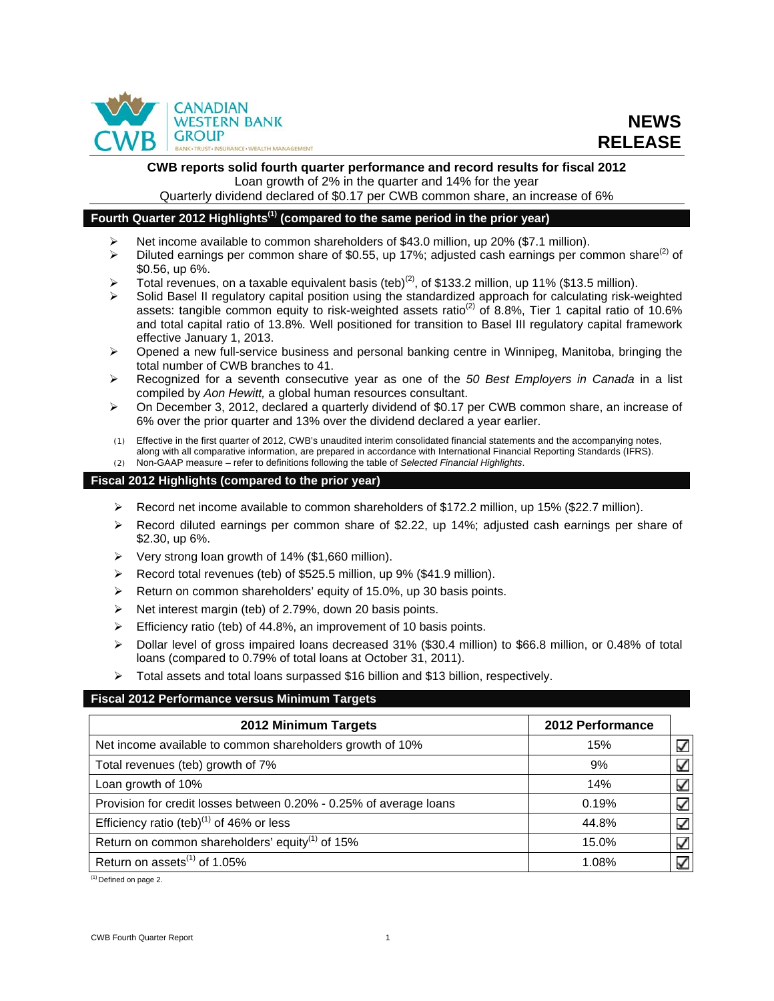

#### **CWB reports solid fourth quarter performance and record results for fiscal 2012**  Loan growth of 2% in the quarter and 14% for the year

Quarterly dividend declared of \$0.17 per CWB common share, an increase of 6%

#### **Fourth Quarter 2012 Highlights(1) (compared to the same period in the prior year)**

- $\triangleright$  Net income available to common shareholders of \$43.0 million, up 20% (\$7.1 million).
- $\triangleright$  Diluted earnings per common share of \$0.55, up 17%; adjusted cash earnings per common share<sup>(2)</sup> of \$0.56, up 6%.
- $\triangleright$  Total revenues, on a taxable equivalent basis (teb)<sup>(2)</sup>, of \$133.2 million, up 11% (\$13.5 million).
- Solid Basel II regulatory capital position using the standardized approach for calculating risk-weighted assets: tangible common equity to risk-weighted assets ratio<sup>(2)</sup> of 8.8%, Tier 1 capital ratio of 10.6% and total capital ratio of 13.8%. Well positioned for transition to Basel III regulatory capital framework effective January 1, 2013.
- $\triangleright$  Opened a new full-service business and personal banking centre in Winnipeg, Manitoba, bringing the total number of CWB branches to 41.
- Recognized for a seventh consecutive year as one of the *50 Best Employers in Canada* in a list compiled by *Aon Hewitt,* a global human resources consultant.
- $\triangleright$  On December 3, 2012, declared a quarterly dividend of \$0.17 per CWB common share, an increase of 6% over the prior quarter and 13% over the dividend declared a year earlier.
- (1) Effective in the first quarter of 2012, CWB's unaudited interim consolidated financial statements and the accompanying notes, along with all comparative information, are prepared in accordance with International Financial Reporting Standards (IFRS). (2) Non-GAAP measure – refer to definitions following the table of *Selected Financial Highlights*.

## **Fiscal 2012 Highlights (compared to the prior year)**

- - $\triangleright$  Record net income available to common shareholders of \$172.2 million, up 15% (\$22.7 million).
	- $\triangleright$  Record diluted earnings per common share of \$2.22, up 14%; adjusted cash earnings per share of \$2.30, up 6%.
	- $\triangleright$  Very strong loan growth of 14% (\$1,660 million).
	- Record total revenues (teb) of \$525.5 million, up 9% (\$41.9 million).
	- $\triangleright$  Return on common shareholders' equity of 15.0%, up 30 basis points.
	- $\triangleright$  Net interest margin (teb) of 2.79%, down 20 basis points.
	- $\triangleright$  Efficiency ratio (teb) of 44.8%, an improvement of 10 basis points.
	- $\triangleright$  Dollar level of gross impaired loans decreased 31% (\$30.4 million) to \$66.8 million, or 0.48% of total loans (compared to 0.79% of total loans at October 31, 2011).
	- Total assets and total loans surpassed \$16 billion and \$13 billion, respectively.

#### **Fiscal 2012 Performance versus Minimum Targets**

| 2012 Minimum Targets                                               | 2012 Performance |   |
|--------------------------------------------------------------------|------------------|---|
| Net income available to common shareholders growth of 10%          | 15%              | ✓ |
| Total revenues (teb) growth of 7%                                  | 9%               | ✓ |
| Loan growth of 10%                                                 | 14%              | ✓ |
| Provision for credit losses between 0.20% - 0.25% of average loans | 0.19%            | ✓ |
| Efficiency ratio (teb) <sup>(1)</sup> of 46% or less               | 44.8%            | ✓ |
| Return on common shareholders' equity <sup>(1)</sup> of 15%        | 15.0%            | ✓ |
| Return on assets $^{(1)}$ of 1.05%                                 | 1.08%            | ✓ |

(1) Defined on page 2.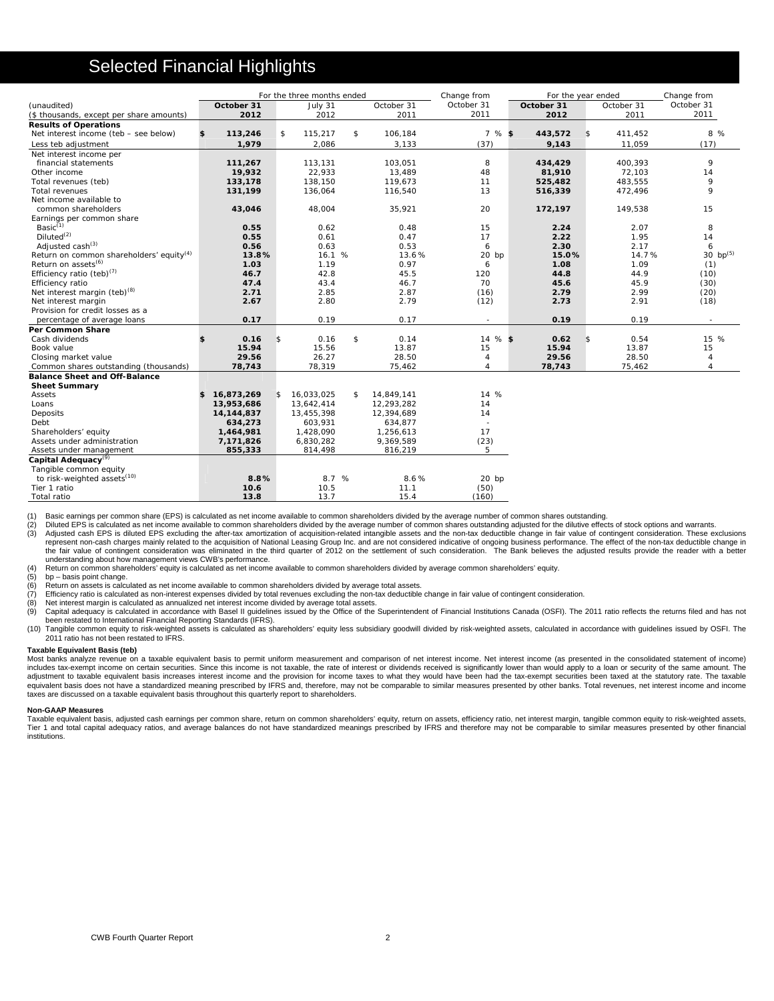## Selected Financial Highlights

|                                                      |               | For the three months ended  |    |            | Change from | For the year ended |               | Change from |                |  |
|------------------------------------------------------|---------------|-----------------------------|----|------------|-------------|--------------------|---------------|-------------|----------------|--|
| (unaudited)                                          | October 31    | July 31                     |    | October 31 | October 31  | October 31         |               | October 31  | October 31     |  |
| (\$ thousands, except per share amounts)             | 2012          | 2012                        |    | 2011       | 2011        | 2012               |               | 2011        | 2011           |  |
| <b>Results of Operations</b>                         |               |                             |    |            |             |                    |               |             |                |  |
| Net interest income (teb - see below)                | 113,246<br>\$ | 115,217<br>\$               | \$ | 106,184    | $7%$ \$     | 443,572            | \$            | 411,452     | 8 %            |  |
| Less teb adjustment                                  | 1,979         | 2,086                       |    | 3,133      | (37)        | 9,143              |               | 11,059      | (17)           |  |
| Net interest income per                              |               |                             |    |            |             |                    |               |             |                |  |
| financial statements                                 | 111,267       | 113,131                     |    | 103,051    | 8           | 434,429            |               | 400,393     | 9              |  |
| Other income                                         | 19,932        | 22,933                      |    | 13,489     | 48          | 81,910             |               | 72,103      | 14             |  |
| Total revenues (teb)                                 | 133,178       | 138,150                     |    | 119,673    | 11          | 525,482            |               | 483,555     | 9              |  |
| <b>Total revenues</b>                                | 131,199       | 136,064                     |    | 116,540    | 13          | 516,339            |               | 472,496     | 9              |  |
| Net income available to                              |               |                             |    |            |             |                    |               |             |                |  |
| common shareholders                                  | 43,046        | 48,004                      |    | 35,921     | 20          | 172,197            |               | 149,538     | 15             |  |
| Earnings per common share                            |               |                             |    |            |             |                    |               |             |                |  |
| Basic <sup>(1)</sup>                                 | 0.55          | 0.62                        |    | 0.48       | 15          | 2.24               |               | 2.07        | 8              |  |
| Diluted <sup>(2)</sup>                               | 0.55          | 0.61                        |    | 0.47       | 17          | 2.22               |               | 1.95        | 14             |  |
| Adjusted cash <sup>(3)</sup>                         | 0.56          | 0.63                        |    | 0.53       | 6           | 2.30               |               | 2.17        | 6              |  |
| Return on common shareholders' equity <sup>(4)</sup> | 13.8%         | 16.1 %                      |    | 13.6%      | $20$ bp     | 15.0%              |               | 14.7%       | 30 $bp^{(5)}$  |  |
| Return on assets <sup>(6)</sup>                      | 1.03          | 1.19                        |    | 0.97       | 6           | 1.08               |               | 1.09        | (1)            |  |
| Efficiency ratio (teb) $(7)$                         | 46.7          | 42.8                        |    | 45.5       | 120         | 44.8               |               | 44.9        | (10)           |  |
| Efficiency ratio                                     | 47.4          | 43.4                        |    | 46.7       | 70          | 45.6               |               | 45.9        | (30)           |  |
| Net interest margin (teb) <sup>(8)</sup>             | 2.71          | 2.85                        |    | 2.87       | (16)        | 2.79               |               | 2.99        | (20)           |  |
| Net interest margin                                  | 2.67          | 2.80                        |    | 2.79       | (12)        | 2.73               |               | 2.91        | (18)           |  |
| Provision for credit losses as a                     |               |                             |    |            |             |                    |               |             |                |  |
| percentage of average loans                          | 0.17          | 0.19                        |    | 0.17       |             | 0.19               |               | 0.19        |                |  |
| Per Common Share                                     |               |                             |    |            |             |                    |               |             |                |  |
| Cash dividends                                       | 0.16<br>\$    | 0.16<br>\$                  | \$ | 0.14       | $14 \%$ \$  | 0.62               | $\mathsf{\$}$ | 0.54        | 15 %           |  |
| Book value                                           | 15.94         | 15.56                       |    | 13.87      | 15          | 15.94              |               | 13.87       | 15             |  |
| Closing market value                                 | 29.56         | 26.27                       |    | 28.50      | 4           | 29.56              |               | 28.50       | $\overline{4}$ |  |
| Common shares outstanding (thousands)                | 78,743        | 78,319                      |    | 75,462     | 4           | 78,743             |               | 75,462      | $\overline{4}$ |  |
| <b>Balance Sheet and Off-Balance</b>                 |               |                             |    |            |             |                    |               |             |                |  |
| <b>Sheet Summary</b>                                 |               |                             |    |            |             |                    |               |             |                |  |
| Assets                                               | 16,873,269    | 16,033,025<br><sup>\$</sup> | \$ | 14,849,141 | 14 %        |                    |               |             |                |  |
| Loans                                                | 13,953,686    | 13,642,414                  |    | 12,293,282 | 14          |                    |               |             |                |  |
| Deposits                                             | 14, 144, 837  | 13,455,398                  |    | 12,394,689 | 14          |                    |               |             |                |  |
| Debt                                                 | 634,273       | 603,931                     |    | 634,877    | $\sim$      |                    |               |             |                |  |
| Shareholders' equity                                 | 1,464,981     | 1,428,090                   |    | 1,256,613  | 17          |                    |               |             |                |  |
| Assets under administration                          | 7,171,826     | 6,830,282                   |    | 9,369,589  | (23)        |                    |               |             |                |  |
| Assets under management                              | 855,333       | 814,498                     |    | 816,219    | 5           |                    |               |             |                |  |
| Capital Adequacy <sup>(9)</sup>                      |               |                             |    |            |             |                    |               |             |                |  |
| Tangible common equity                               |               |                             |    |            |             |                    |               |             |                |  |
| to risk-weighted assets <sup>(10)</sup>              | 8.8%          | 8.7 %                       |    | 8.6%       | 20 bp       |                    |               |             |                |  |
| Tier 1 ratio                                         | 10.6          | 10.5                        |    | 11.1       | (50)        |                    |               |             |                |  |
| Total ratio                                          | 13.8          | 13.7                        |    | 15.4       | (160)       |                    |               |             |                |  |

(1) Basic earnings per common share (EPS) is calculated as net income available to common shareholders divided by the average number of common shares outstanding.<br>(2) Diluted EPS is calculated as net income available to co

(3) Adjusted cash EPS is diluted EPS excluding the after-tax amortization of acquisition-related intangible assets and the non-tax deductible change in fair value of contingent consideration. These exclusions represent non-cash charges mainly related to the acquisition of National Leasing Group Inc. and are not considered indicative of ongoing business performance. The effect of the non-tax deductible change in<br>the fair value o understanding about how management views CWB's performance.

(4) Return on common shareholders' equity is calculated as net income available to common shareholders divided by average common shareholders' equity.<br>(5) bp - basis point change.

(5) bp – basis point change.<br>
(6) Return on assets is calcular<br>
(7) Efficiency ratio is calcular Return on assets is calculated as net income available to common shareholders divided by average total assets.

 $\overline{7}$  Efficiency ratio is calculated as non-interest expenses divided by total revenues excluding the non-tax deductible change in fair value of contingent consideration.<br>(8) Net interest margin is calculated as annual

(8) Net interest margin is calculated as annualized net interest income divided by average total assets.<br>(9) Capital adequacy is calculated in accordance with Basel II guidelines issued by the Office of the Superintendent been restated to International Financial Reporting Standards (IFRS).

(10) Tangible common equity to risk-weighted assets is calculated as shareholders' equity less subsidiary goodwill divided by risk-weighted assets, calculated in accordance with guidelines issued by OSFI. The<br>2011 ratio ha

#### **Taxable Equivalent Basis (teb)**

Most banks analyze revenue on a taxable equivalent basis to permit uniform measurement and comparison of net interest income. Net interest income (as presented in the consolidated statement of income) includes tax-exempt income on certain securities. Since this income is not taxable, the rate of interest or dividends received is significantly lower than would apply to a loan or security of the same amount. The includes adjustment to taxable equivalent basis increases interest income and the provision for income taxes to what they would have been had the tax-exempt securities been taxed at the statutory rate. The taxable equivalent basis does not have a standardized meaning prescribed by IFRS and, therefore, may not be comparable to similar measures presented by other banks. Total revenues, net interest income and income<br>taxes are discusse

#### **Non-GAAP Measures**

Taxable equivalent basis, adjusted cash earnings per common share, return on common shareholders' equity, return on assets, efficiency ratio, net interest margin, tangible common equity to risk-weighted assets, Tier 1 and total capital adequacy ratios, and average balances do not have standardized meanings prescribed by IFRS and therefore may not be comparable to similar measures presented by other financial institutions.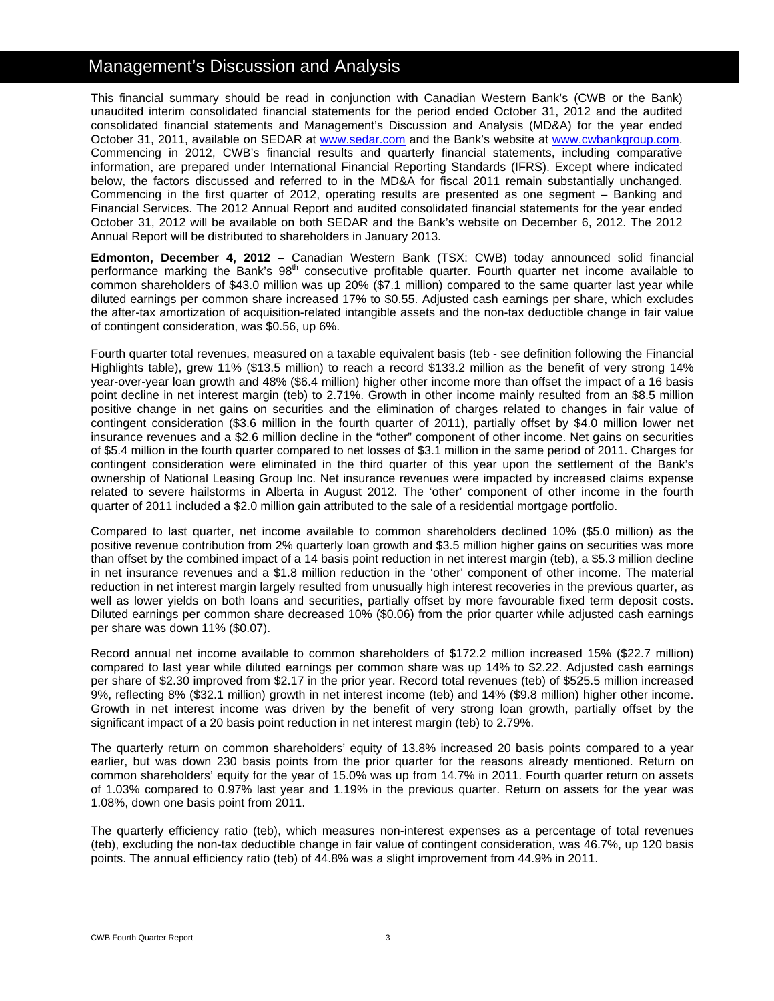This financial summary should be read in conjunction with Canadian Western Bank's (CWB or the Bank) unaudited interim consolidated financial statements for the period ended October 31, 2012 and the audited consolidated financial statements and Management's Discussion and Analysis (MD&A) for the year ended October 31, 2011, available on SEDAR at www.sedar.com and the Bank's website at www.cwbankgroup.com. Commencing in 2012, CWB's financial results and quarterly financial statements, including comparative information, are prepared under International Financial Reporting Standards (IFRS). Except where indicated below, the factors discussed and referred to in the MD&A for fiscal 2011 remain substantially unchanged. Commencing in the first quarter of 2012, operating results are presented as one segment – Banking and Financial Services. The 2012 Annual Report and audited consolidated financial statements for the year ended October 31, 2012 will be available on both SEDAR and the Bank's website on December 6, 2012. The 2012 Annual Report will be distributed to shareholders in January 2013.

**Edmonton, December 4, 2012** – Canadian Western Bank (TSX: CWB) today announced solid financial performance marking the Bank's 98<sup>th</sup> consecutive profitable quarter. Fourth quarter net income available to common shareholders of \$43.0 million was up 20% (\$7.1 million) compared to the same quarter last year while diluted earnings per common share increased 17% to \$0.55. Adjusted cash earnings per share, which excludes the after-tax amortization of acquisition-related intangible assets and the non-tax deductible change in fair value of contingent consideration, was \$0.56, up 6%.

Fourth quarter total revenues, measured on a taxable equivalent basis (teb - see definition following the Financial Highlights table), grew 11% (\$13.5 million) to reach a record \$133.2 million as the benefit of very strong 14% year-over-year loan growth and 48% (\$6.4 million) higher other income more than offset the impact of a 16 basis point decline in net interest margin (teb) to 2.71%. Growth in other income mainly resulted from an \$8.5 million positive change in net gains on securities and the elimination of charges related to changes in fair value of contingent consideration (\$3.6 million in the fourth quarter of 2011), partially offset by \$4.0 million lower net insurance revenues and a \$2.6 million decline in the "other" component of other income. Net gains on securities of \$5.4 million in the fourth quarter compared to net losses of \$3.1 million in the same period of 2011. Charges for contingent consideration were eliminated in the third quarter of this year upon the settlement of the Bank's ownership of National Leasing Group Inc. Net insurance revenues were impacted by increased claims expense related to severe hailstorms in Alberta in August 2012. The 'other' component of other income in the fourth quarter of 2011 included a \$2.0 million gain attributed to the sale of a residential mortgage portfolio.

Compared to last quarter, net income available to common shareholders declined 10% (\$5.0 million) as the positive revenue contribution from 2% quarterly loan growth and \$3.5 million higher gains on securities was more than offset by the combined impact of a 14 basis point reduction in net interest margin (teb), a \$5.3 million decline in net insurance revenues and a \$1.8 million reduction in the 'other' component of other income. The material reduction in net interest margin largely resulted from unusually high interest recoveries in the previous quarter, as well as lower yields on both loans and securities, partially offset by more favourable fixed term deposit costs. Diluted earnings per common share decreased 10% (\$0.06) from the prior quarter while adjusted cash earnings per share was down 11% (\$0.07).

Record annual net income available to common shareholders of \$172.2 million increased 15% (\$22.7 million) compared to last year while diluted earnings per common share was up 14% to \$2.22. Adjusted cash earnings per share of \$2.30 improved from \$2.17 in the prior year. Record total revenues (teb) of \$525.5 million increased 9%, reflecting 8% (\$32.1 million) growth in net interest income (teb) and 14% (\$9.8 million) higher other income. Growth in net interest income was driven by the benefit of very strong loan growth, partially offset by the significant impact of a 20 basis point reduction in net interest margin (teb) to 2.79%.

The quarterly return on common shareholders' equity of 13.8% increased 20 basis points compared to a year earlier, but was down 230 basis points from the prior quarter for the reasons already mentioned. Return on common shareholders' equity for the year of 15.0% was up from 14.7% in 2011. Fourth quarter return on assets of 1.03% compared to 0.97% last year and 1.19% in the previous quarter. Return on assets for the year was 1.08%, down one basis point from 2011.

The quarterly efficiency ratio (teb), which measures non-interest expenses as a percentage of total revenues (teb), excluding the non-tax deductible change in fair value of contingent consideration, was 46.7%, up 120 basis points. The annual efficiency ratio (teb) of 44.8% was a slight improvement from 44.9% in 2011.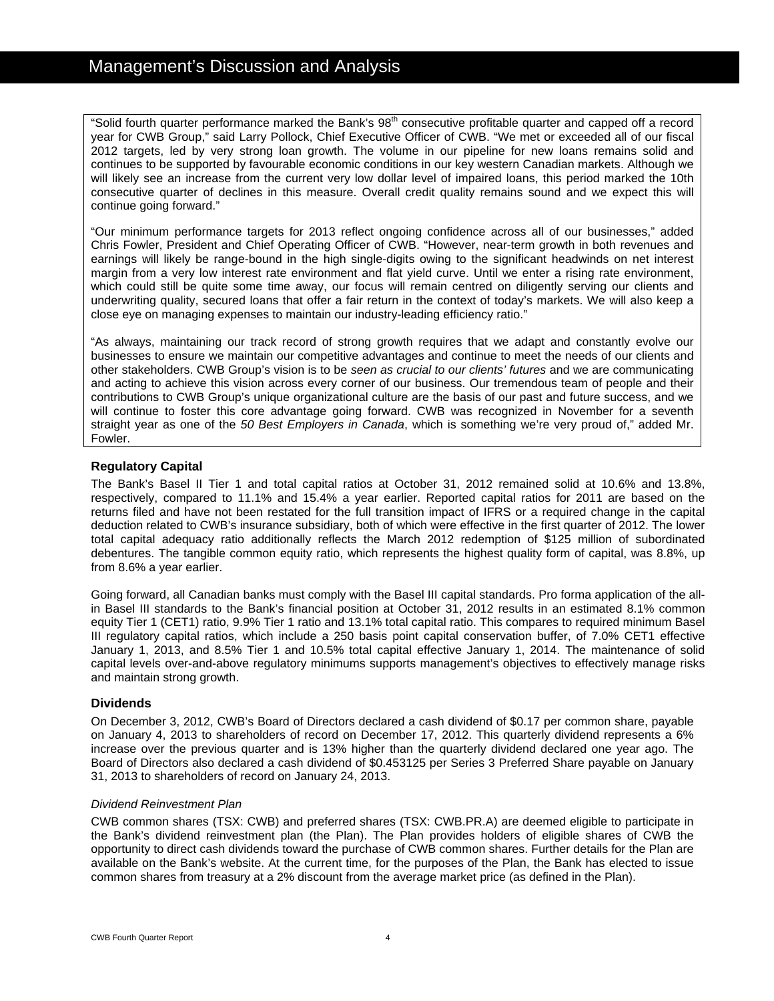"Solid fourth quarter performance marked the Bank's 98<sup>th</sup> consecutive profitable quarter and capped off a record year for CWB Group," said Larry Pollock, Chief Executive Officer of CWB. "We met or exceeded all of our fiscal 2012 targets, led by very strong loan growth. The volume in our pipeline for new loans remains solid and continues to be supported by favourable economic conditions in our key western Canadian markets. Although we will likely see an increase from the current very low dollar level of impaired loans, this period marked the 10th consecutive quarter of declines in this measure. Overall credit quality remains sound and we expect this will continue going forward."

"Our minimum performance targets for 2013 reflect ongoing confidence across all of our businesses," added Chris Fowler, President and Chief Operating Officer of CWB. "However, near-term growth in both revenues and earnings will likely be range-bound in the high single-digits owing to the significant headwinds on net interest margin from a very low interest rate environment and flat yield curve. Until we enter a rising rate environment, which could still be quite some time away, our focus will remain centred on diligently serving our clients and underwriting quality, secured loans that offer a fair return in the context of today's markets. We will also keep a close eye on managing expenses to maintain our industry-leading efficiency ratio."

"As always, maintaining our track record of strong growth requires that we adapt and constantly evolve our businesses to ensure we maintain our competitive advantages and continue to meet the needs of our clients and other stakeholders. CWB Group's vision is to be *seen as crucial to our clients' futures* and we are communicating and acting to achieve this vision across every corner of our business. Our tremendous team of people and their contributions to CWB Group's unique organizational culture are the basis of our past and future success, and we will continue to foster this core advantage going forward. CWB was recognized in November for a seventh straight year as one of the *50 Best Employers in Canada*, which is something we're very proud of," added Mr. Fowler.

#### **Regulatory Capital**

The Bank's Basel II Tier 1 and total capital ratios at October 31, 2012 remained solid at 10.6% and 13.8%, respectively, compared to 11.1% and 15.4% a year earlier. Reported capital ratios for 2011 are based on the returns filed and have not been restated for the full transition impact of IFRS or a required change in the capital deduction related to CWB's insurance subsidiary, both of which were effective in the first quarter of 2012. The lower total capital adequacy ratio additionally reflects the March 2012 redemption of \$125 million of subordinated debentures. The tangible common equity ratio, which represents the highest quality form of capital, was 8.8%, up from 8.6% a year earlier.

Going forward, all Canadian banks must comply with the Basel III capital standards. Pro forma application of the allin Basel III standards to the Bank's financial position at October 31, 2012 results in an estimated 8.1% common equity Tier 1 (CET1) ratio, 9.9% Tier 1 ratio and 13.1% total capital ratio. This compares to required minimum Basel III regulatory capital ratios, which include a 250 basis point capital conservation buffer, of 7.0% CET1 effective January 1, 2013, and 8.5% Tier 1 and 10.5% total capital effective January 1, 2014. The maintenance of solid capital levels over-and-above regulatory minimums supports management's objectives to effectively manage risks and maintain strong growth.

#### **Dividends**

On December 3, 2012, CWB's Board of Directors declared a cash dividend of \$0.17 per common share, payable on January 4, 2013 to shareholders of record on December 17, 2012. This quarterly dividend represents a 6% increase over the previous quarter and is 13% higher than the quarterly dividend declared one year ago. The Board of Directors also declared a cash dividend of \$0.453125 per Series 3 Preferred Share payable on January 31, 2013 to shareholders of record on January 24, 2013.

#### *Dividend Reinvestment Plan*

CWB common shares (TSX: CWB) and preferred shares (TSX: CWB.PR.A) are deemed eligible to participate in the Bank's dividend reinvestment plan (the Plan). The Plan provides holders of eligible shares of CWB the opportunity to direct cash dividends toward the purchase of CWB common shares. Further details for the Plan are available on the Bank's website. At the current time, for the purposes of the Plan, the Bank has elected to issue common shares from treasury at a 2% discount from the average market price (as defined in the Plan).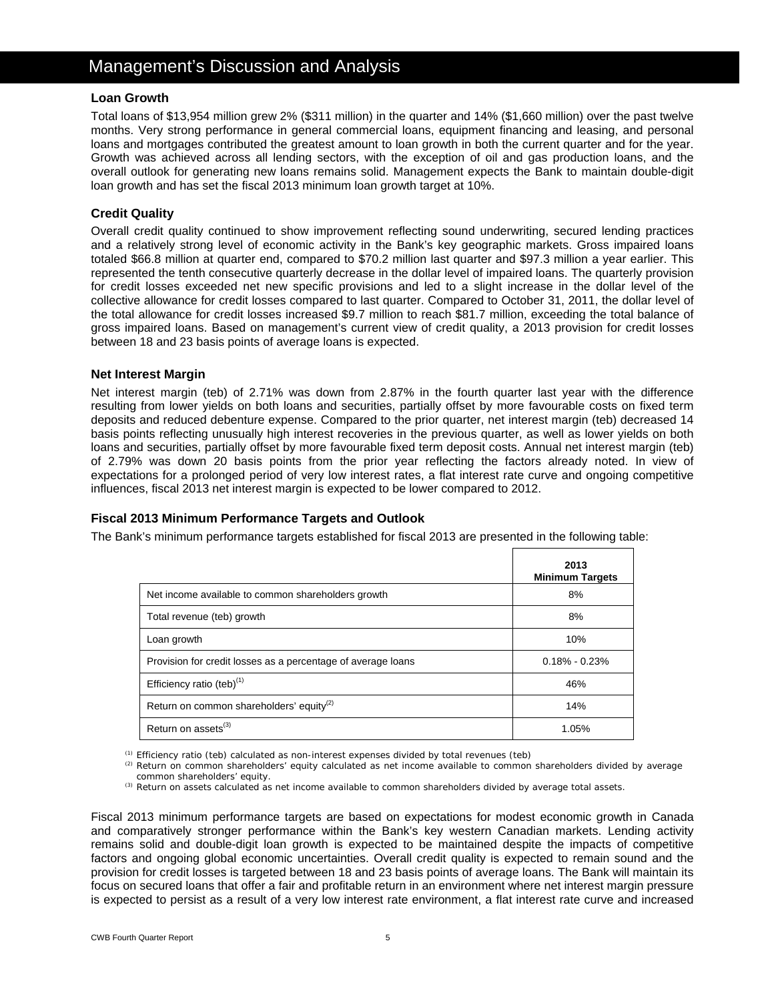#### **Loan Growth**

Total loans of \$13,954 million grew 2% (\$311 million) in the quarter and 14% (\$1,660 million) over the past twelve months. Very strong performance in general commercial loans, equipment financing and leasing, and personal loans and mortgages contributed the greatest amount to loan growth in both the current quarter and for the year. Growth was achieved across all lending sectors, with the exception of oil and gas production loans, and the overall outlook for generating new loans remains solid. Management expects the Bank to maintain double-digit loan growth and has set the fiscal 2013 minimum loan growth target at 10%.

#### **Credit Quality**

Overall credit quality continued to show improvement reflecting sound underwriting, secured lending practices and a relatively strong level of economic activity in the Bank's key geographic markets. Gross impaired loans totaled \$66.8 million at quarter end, compared to \$70.2 million last quarter and \$97.3 million a year earlier. This represented the tenth consecutive quarterly decrease in the dollar level of impaired loans. The quarterly provision for credit losses exceeded net new specific provisions and led to a slight increase in the dollar level of the collective allowance for credit losses compared to last quarter. Compared to October 31, 2011, the dollar level of the total allowance for credit losses increased \$9.7 million to reach \$81.7 million, exceeding the total balance of gross impaired loans. Based on management's current view of credit quality, a 2013 provision for credit losses between 18 and 23 basis points of average loans is expected.

#### **Net Interest Margin**

Net interest margin (teb) of 2.71% was down from 2.87% in the fourth quarter last year with the difference resulting from lower yields on both loans and securities, partially offset by more favourable costs on fixed term deposits and reduced debenture expense. Compared to the prior quarter, net interest margin (teb) decreased 14 basis points reflecting unusually high interest recoveries in the previous quarter, as well as lower yields on both loans and securities, partially offset by more favourable fixed term deposit costs. Annual net interest margin (teb) of 2.79% was down 20 basis points from the prior year reflecting the factors already noted. In view of expectations for a prolonged period of very low interest rates, a flat interest rate curve and ongoing competitive influences, fiscal 2013 net interest margin is expected to be lower compared to 2012.

#### **Fiscal 2013 Minimum Performance Targets and Outlook**

The Bank's minimum performance targets established for fiscal 2013 are presented in the following table:

|                                                              | 2013<br><b>Minimum Targets</b> |
|--------------------------------------------------------------|--------------------------------|
| Net income available to common shareholders growth           | 8%                             |
| Total revenue (teb) growth                                   | 8%                             |
| Loan growth                                                  | 10%                            |
| Provision for credit losses as a percentage of average loans | $0.18\% - 0.23\%$              |
| Efficiency ratio $(teb)^{(1)}$                               | 46%                            |
| Return on common shareholders' equity <sup>(2)</sup>         | 14%                            |
| Return on assets <sup>(3)</sup>                              | 1.05%                          |

(1) Efficiency ratio (teb) calculated as non-interest expenses divided by total revenues (teb) (2) Return on common shareholders divided by average (2) Return on common shareholders divided by average

common shareholders' equity.<br>(3) Return on assets calculated as net income available to common shareholders divided by average total assets.

Fiscal 2013 minimum performance targets are based on expectations for modest economic growth in Canada and comparatively stronger performance within the Bank's key western Canadian markets. Lending activity remains solid and double-digit loan growth is expected to be maintained despite the impacts of competitive factors and ongoing global economic uncertainties. Overall credit quality is expected to remain sound and the provision for credit losses is targeted between 18 and 23 basis points of average loans. The Bank will maintain its focus on secured loans that offer a fair and profitable return in an environment where net interest margin pressure is expected to persist as a result of a very low interest rate environment, a flat interest rate curve and increased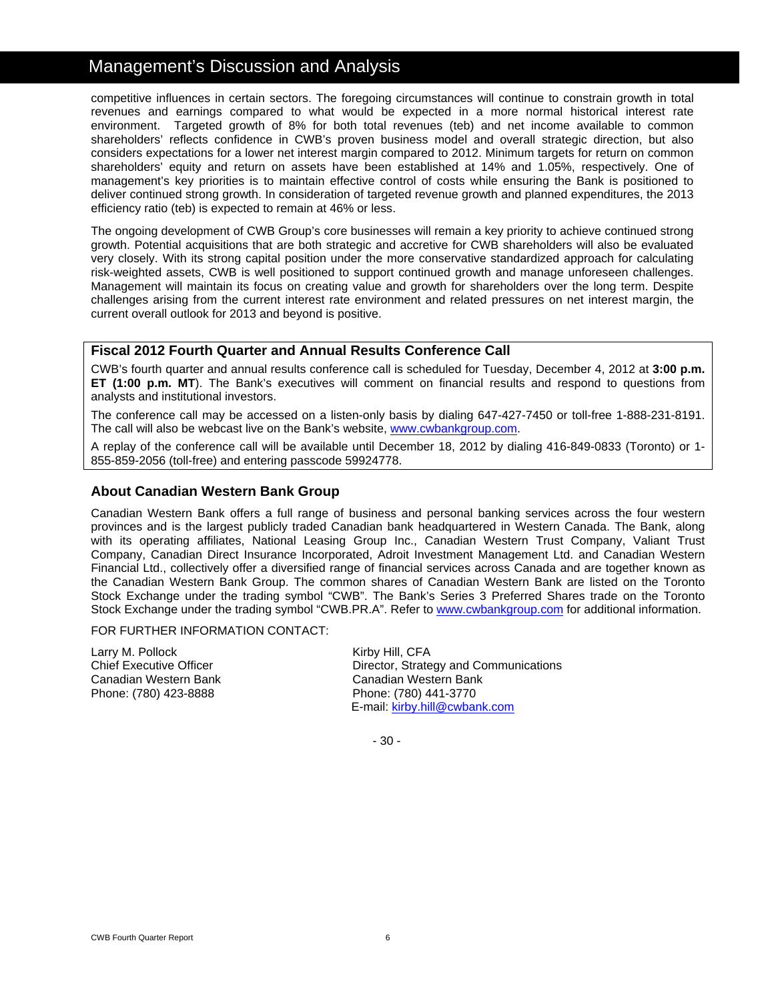competitive influences in certain sectors. The foregoing circumstances will continue to constrain growth in total revenues and earnings compared to what would be expected in a more normal historical interest rate environment. Targeted growth of 8% for both total revenues (teb) and net income available to common shareholders' reflects confidence in CWB's proven business model and overall strategic direction, but also considers expectations for a lower net interest margin compared to 2012. Minimum targets for return on common shareholders' equity and return on assets have been established at 14% and 1.05%, respectively. One of management's key priorities is to maintain effective control of costs while ensuring the Bank is positioned to deliver continued strong growth. In consideration of targeted revenue growth and planned expenditures, the 2013 efficiency ratio (teb) is expected to remain at 46% or less.

The ongoing development of CWB Group's core businesses will remain a key priority to achieve continued strong growth. Potential acquisitions that are both strategic and accretive for CWB shareholders will also be evaluated very closely. With its strong capital position under the more conservative standardized approach for calculating risk-weighted assets, CWB is well positioned to support continued growth and manage unforeseen challenges. Management will maintain its focus on creating value and growth for shareholders over the long term. Despite challenges arising from the current interest rate environment and related pressures on net interest margin, the current overall outlook for 2013 and beyond is positive.

#### **Fiscal 2012 Fourth Quarter and Annual Results Conference Call**

CWB's fourth quarter and annual results conference call is scheduled for Tuesday, December 4, 2012 at **3:00 p.m. ET (1:00 p.m. MT**). The Bank's executives will comment on financial results and respond to questions from analysts and institutional investors.

The conference call may be accessed on a listen-only basis by dialing 647-427-7450 or toll-free 1-888-231-8191. The call will also be webcast live on the Bank's website, www.cwbankgroup.com.

A replay of the conference call will be available until December 18, 2012 by dialing 416-849-0833 (Toronto) or 1- 855-859-2056 (toll-free) and entering passcode 59924778.

#### **About Canadian Western Bank Group**

Canadian Western Bank offers a full range of business and personal banking services across the four western provinces and is the largest publicly traded Canadian bank headquartered in Western Canada. The Bank, along with its operating affiliates, National Leasing Group Inc., Canadian Western Trust Company, Valiant Trust Company, Canadian Direct Insurance Incorporated, Adroit Investment Management Ltd. and Canadian Western Financial Ltd., collectively offer a diversified range of financial services across Canada and are together known as the Canadian Western Bank Group. The common shares of Canadian Western Bank are listed on the Toronto Stock Exchange under the trading symbol "CWB". The Bank's Series 3 Preferred Shares trade on the Toronto Stock Exchange under the trading symbol "CWB.PR.A". Refer to www.cwbankgroup.com for additional information.

#### FOR FURTHER INFORMATION CONTACT:

Larry M. Pollock Kirby Hill, CFA Canadian Western Bank Canadian Western Bank Phone: (780) 423-8888 Phone: (780) 441-3770

Chief Executive Officer **Director, Strategy and Communications** E-mail: kirby.hill@cwbank.com

- 30 -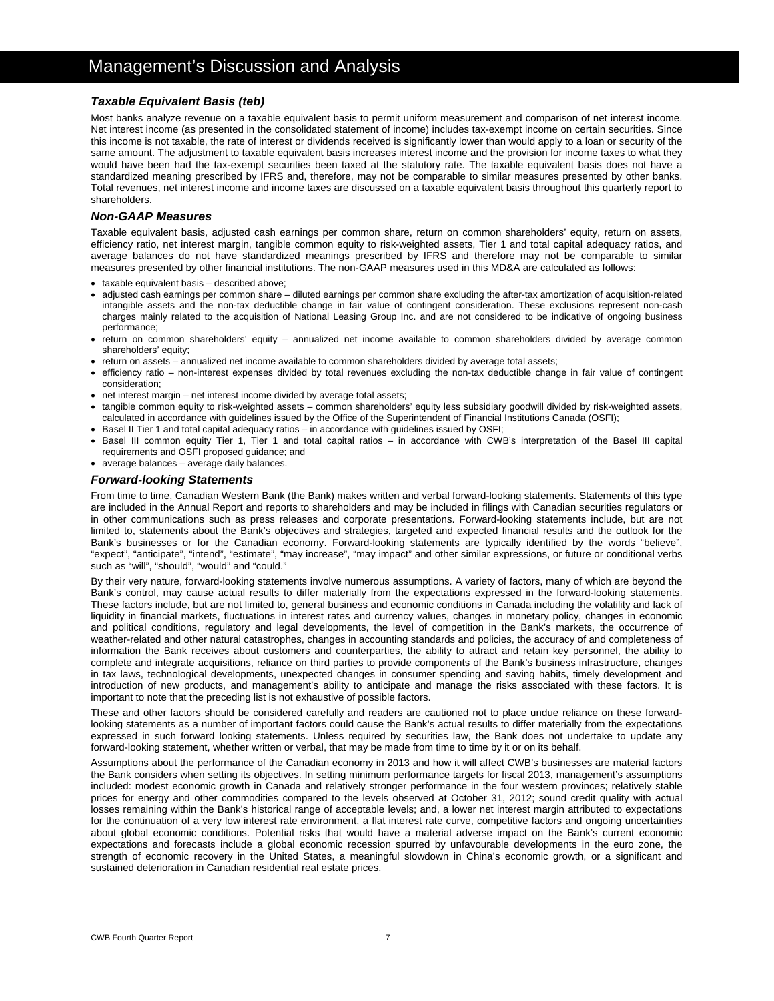#### *Taxable Equivalent Basis (teb)*

Most banks analyze revenue on a taxable equivalent basis to permit uniform measurement and comparison of net interest income. Net interest income (as presented in the consolidated statement of income) includes tax-exempt income on certain securities. Since this income is not taxable, the rate of interest or dividends received is significantly lower than would apply to a loan or security of the same amount. The adjustment to taxable equivalent basis increases interest income and the provision for income taxes to what they would have been had the tax-exempt securities been taxed at the statutory rate. The taxable equivalent basis does not have a standardized meaning prescribed by IFRS and, therefore, may not be comparable to similar measures presented by other banks. Total revenues, net interest income and income taxes are discussed on a taxable equivalent basis throughout this quarterly report to shareholders.

#### *Non-GAAP Measures*

Taxable equivalent basis, adjusted cash earnings per common share, return on common shareholders' equity, return on assets, efficiency ratio, net interest margin, tangible common equity to risk-weighted assets, Tier 1 and total capital adequacy ratios, and average balances do not have standardized meanings prescribed by IFRS and therefore may not be comparable to similar measures presented by other financial institutions. The non-GAAP measures used in this MD&A are calculated as follows:

- taxable equivalent basis described above;
- adjusted cash earnings per common share diluted earnings per common share excluding the after-tax amortization of acquisition-related intangible assets and the non-tax deductible change in fair value of contingent consideration. These exclusions represent non-cash charges mainly related to the acquisition of National Leasing Group Inc. and are not considered to be indicative of ongoing business performance;
- return on common shareholders' equity annualized net income available to common shareholders divided by average common shareholders' equity;
- return on assets annualized net income available to common shareholders divided by average total assets;
- efficiency ratio non-interest expenses divided by total revenues excluding the non-tax deductible change in fair value of contingent consideration;
- net interest margin net interest income divided by average total assets;
- tangible common equity to risk-weighted assets common shareholders' equity less subsidiary goodwill divided by risk-weighted assets, calculated in accordance with guidelines issued by the Office of the Superintendent of Financial Institutions Canada (OSFI);
- Basel II Tier 1 and total capital adequacy ratios in accordance with guidelines issued by OSFI;
- Basel III common equity Tier 1, Tier 1 and total capital ratios in accordance with CWB's interpretation of the Basel III capital requirements and OSFI proposed guidance; and
- average balances average daily balances.

#### *Forward-looking Statements*

From time to time, Canadian Western Bank (the Bank) makes written and verbal forward-looking statements. Statements of this type are included in the Annual Report and reports to shareholders and may be included in filings with Canadian securities regulators or in other communications such as press releases and corporate presentations. Forward-looking statements include, but are not limited to, statements about the Bank's objectives and strategies, targeted and expected financial results and the outlook for the Bank's businesses or for the Canadian economy. Forward-looking statements are typically identified by the words "believe", "expect", "anticipate", "intend", "estimate", "may increase", "may impact" and other similar expressions, or future or conditional verbs such as "will", "should", "would" and "could."

By their very nature, forward-looking statements involve numerous assumptions. A variety of factors, many of which are beyond the Bank's control, may cause actual results to differ materially from the expectations expressed in the forward-looking statements. These factors include, but are not limited to, general business and economic conditions in Canada including the volatility and lack of liquidity in financial markets, fluctuations in interest rates and currency values, changes in monetary policy, changes in economic and political conditions, regulatory and legal developments, the level of competition in the Bank's markets, the occurrence of weather-related and other natural catastrophes, changes in accounting standards and policies, the accuracy of and completeness of information the Bank receives about customers and counterparties, the ability to attract and retain key personnel, the ability to complete and integrate acquisitions, reliance on third parties to provide components of the Bank's business infrastructure, changes in tax laws, technological developments, unexpected changes in consumer spending and saving habits, timely development and introduction of new products, and management's ability to anticipate and manage the risks associated with these factors. It is important to note that the preceding list is not exhaustive of possible factors.

These and other factors should be considered carefully and readers are cautioned not to place undue reliance on these forwardlooking statements as a number of important factors could cause the Bank's actual results to differ materially from the expectations expressed in such forward looking statements. Unless required by securities law, the Bank does not undertake to update any forward-looking statement, whether written or verbal, that may be made from time to time by it or on its behalf.

Assumptions about the performance of the Canadian economy in 2013 and how it will affect CWB's businesses are material factors the Bank considers when setting its objectives. In setting minimum performance targets for fiscal 2013, management's assumptions included: modest economic growth in Canada and relatively stronger performance in the four western provinces; relatively stable prices for energy and other commodities compared to the levels observed at October 31, 2012; sound credit quality with actual losses remaining within the Bank's historical range of acceptable levels; and, a lower net interest margin attributed to expectations for the continuation of a very low interest rate environment, a flat interest rate curve, competitive factors and ongoing uncertainties about global economic conditions. Potential risks that would have a material adverse impact on the Bank's current economic expectations and forecasts include a global economic recession spurred by unfavourable developments in the euro zone, the strength of economic recovery in the United States, a meaningful slowdown in China's economic growth, or a significant and sustained deterioration in Canadian residential real estate prices.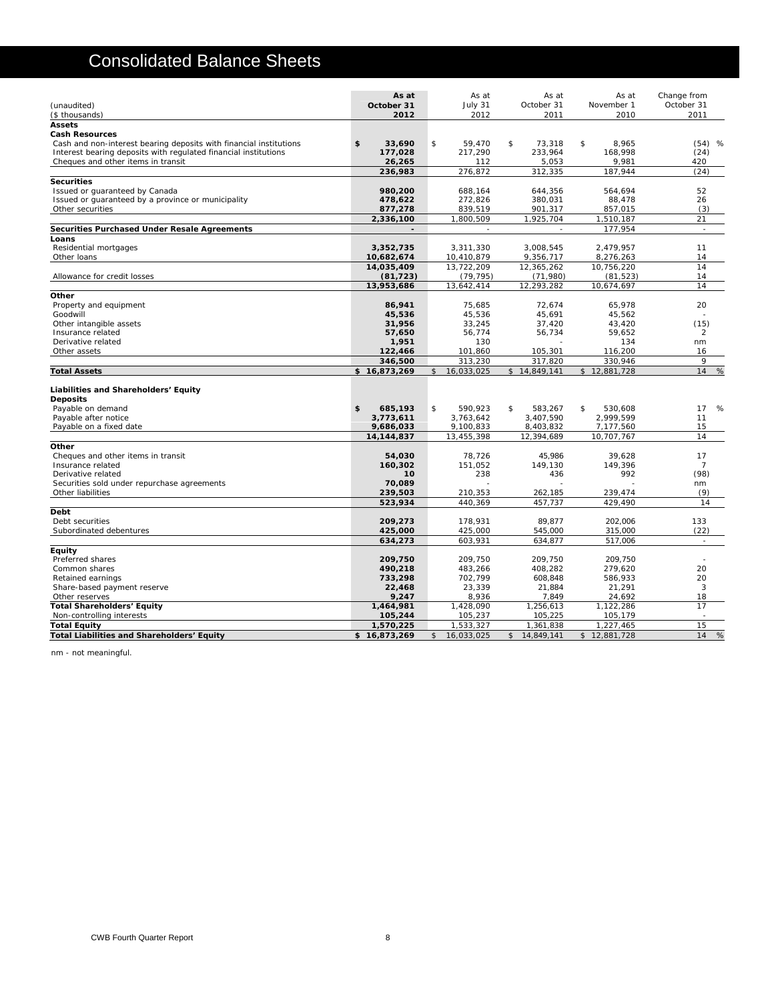# Consolidated Balance Sheets

| October 31<br>(unaudited)<br>October 31<br>July 31<br>October 31<br>November 1<br>2012<br>2011<br>(\$ thousands)<br>2012<br>2011<br>2010<br>Assets<br><b>Cash Resources</b><br>Cash and non-interest bearing deposits with financial institutions<br>\$<br>33,690<br>\$<br>59,470<br>\$<br>73,318<br>\$<br>8,965<br>$(54)$ %<br>Interest bearing deposits with regulated financial institutions<br>217,290<br>233,964<br>168,998<br>(24)<br>177,028<br>Cheques and other items in transit<br>26,265<br>5,053<br>9,981<br>420<br>112<br>276,872<br>187,944<br>(24)<br>236,983<br>312,335<br>52<br>Issued or guaranteed by Canada<br>980,200<br>688,164<br>644,356<br>564,694<br>Issued or guaranteed by a province or municipality<br>478,622<br>272,826<br>380,031<br>88,478<br>26<br>Other securities<br>877,278<br>839,519<br>901,317<br>857,015<br>(3)<br>2,336,100<br>1,800,509<br>1,925,704<br>1,510,187<br>21<br>Securities Purchased Under Resale Agreements<br>177,954<br>$\blacksquare$<br>$\overline{\phantom{a}}$<br>$\overline{\phantom{a}}$<br>$\overline{\phantom{a}}$<br>Loans<br>3,352,735<br>3,311,330<br>3,008,545<br>2,479,957<br>11<br>Residential mortgages<br>10,682,674<br>10,410,879<br>9,356,717<br>Other loans<br>8,276,263<br>14<br>13,722,209<br>12,365,262<br>10,756,220<br>14<br>14,035,409<br>Allowance for credit losses<br>(81, 723)<br>(79, 795)<br>(71,980)<br>(81, 523)<br>14<br>12,293,282<br>10,674,697<br>13,953,686<br>13,642,414<br>14<br>Other<br>Property and equipment<br>86,941<br>75,685<br>72.674<br>65,978<br>20<br>45,536<br>45,691<br>Goodwill<br>45,536<br>45,562<br>(15)<br>Other intangible assets<br>31,956<br>33,245<br>37,420<br>43,420<br>56,774<br>2<br>Insurance related<br>57,650<br>56,734<br>59,652<br>Derivative related<br>1,951<br>130<br>134<br>nm<br>122,466<br>116,200<br>16<br>Other assets<br>101,860<br>105,301<br>330.946<br>346,500<br>313.230<br>317.820<br>9<br>16,033,025<br>\$14,849,141<br>\$12,881,728<br>14<br>%<br>\$16,873,269<br>$\mathfrak{L}$<br><b>Total Assets</b><br>Liabilities and Shareholders' Equity<br>Deposits<br>Payable on demand<br>\$<br>685.193<br>\$<br>590.923<br>\$<br>583,267<br>\$<br>530.608<br>17<br>%<br>Payable after notice<br>3,407,590<br>2,999,599<br>3,773,611<br>3,763,642<br>11<br>9,686,033<br>9,100,833<br>8,403,832<br>7,177,560<br>Payable on a fixed date<br>15<br>14, 144, 837<br>13,455,398<br>12,394,689<br>10,707,767<br>14<br>Other<br>Cheques and other items in transit<br>54,030<br>78,726<br>45,986<br>39,628<br>17<br>$\overline{7}$<br>Insurance related<br>160,302<br>151,052<br>149,130<br>149,396<br>(98)<br>Derivative related<br>10<br>238<br>436<br>992<br>Securities sold under repurchase agreements<br>70,089<br>nm<br>Other liabilities<br>239,503<br>210,353<br>262,185<br>239,474<br>(9)<br>523,934<br>440.369<br>457.737<br>429.490<br>14<br>Debt securities<br>209,273<br>178,931<br>89,877<br>202,006<br>133<br>(22)<br>Subordinated debentures<br>425,000<br>425,000<br>545,000<br>315,000<br>634,273<br>603,931<br>634.877<br>517.006<br>$\overline{\phantom{a}}$<br>Equity<br>Preferred shares<br>209,750<br>209,750<br>209,750<br>209,750<br>20<br>Common shares<br>490,218<br>483,266<br>408,282<br>279,620<br>Retained earnings<br>733,298<br>702.799<br>608.848<br>586,933<br>20<br>Share-based payment reserve<br>22,468<br>23,339<br>21,291<br>3<br>21,884<br>Other reserves<br>9,247<br>8,936<br>7,849<br>24,692<br>18<br>17<br>Total Shareholders' Equity<br>1,464,981<br>1,428,090<br>1,256,613<br>1,122,286<br>Non-controlling interests<br>105,244<br>105,225<br>105,237<br>105,179<br>÷,<br>15<br>1,570,225<br>1,533,327<br>1,361,838<br>1,227,465<br><b>Total Equity</b><br>14<br>%<br>Total Liabilities and Shareholders' Equity<br>\$16,873,269<br>16,033,025<br>$\mathsf{\$}$<br>14,849,141<br>\$12,881,728<br>\$ |                   | As at | As at | As at | As at | Change from |
|-----------------------------------------------------------------------------------------------------------------------------------------------------------------------------------------------------------------------------------------------------------------------------------------------------------------------------------------------------------------------------------------------------------------------------------------------------------------------------------------------------------------------------------------------------------------------------------------------------------------------------------------------------------------------------------------------------------------------------------------------------------------------------------------------------------------------------------------------------------------------------------------------------------------------------------------------------------------------------------------------------------------------------------------------------------------------------------------------------------------------------------------------------------------------------------------------------------------------------------------------------------------------------------------------------------------------------------------------------------------------------------------------------------------------------------------------------------------------------------------------------------------------------------------------------------------------------------------------------------------------------------------------------------------------------------------------------------------------------------------------------------------------------------------------------------------------------------------------------------------------------------------------------------------------------------------------------------------------------------------------------------------------------------------------------------------------------------------------------------------------------------------------------------------------------------------------------------------------------------------------------------------------------------------------------------------------------------------------------------------------------------------------------------------------------------------------------------------------------------------------------------------------------------------------------------------------------------------------------------------------------------------------------------------------------------------------------------------------------------------------------------------------------------------------------------------------------------------------------------------------------------------------------------------------------------------------------------------------------------------------------------------------------------------------------------------------------------------------------------------------------------------------------------------------------------------------------------------------------------------------------------------------------------------------------------------------------------------------------------------------------------------------------------------------------------------------------------------------------------------------------------------------------------------------------------------------------------------------------------------------------------------------------------------------------------------------------------------------------------------------------------------------------------------------------------------------------------------------------------------------------------------|-------------------|-------|-------|-------|-------|-------------|
|                                                                                                                                                                                                                                                                                                                                                                                                                                                                                                                                                                                                                                                                                                                                                                                                                                                                                                                                                                                                                                                                                                                                                                                                                                                                                                                                                                                                                                                                                                                                                                                                                                                                                                                                                                                                                                                                                                                                                                                                                                                                                                                                                                                                                                                                                                                                                                                                                                                                                                                                                                                                                                                                                                                                                                                                                                                                                                                                                                                                                                                                                                                                                                                                                                                                                                                                                                                                                                                                                                                                                                                                                                                                                                                                                                                                                                                                                         |                   |       |       |       |       |             |
|                                                                                                                                                                                                                                                                                                                                                                                                                                                                                                                                                                                                                                                                                                                                                                                                                                                                                                                                                                                                                                                                                                                                                                                                                                                                                                                                                                                                                                                                                                                                                                                                                                                                                                                                                                                                                                                                                                                                                                                                                                                                                                                                                                                                                                                                                                                                                                                                                                                                                                                                                                                                                                                                                                                                                                                                                                                                                                                                                                                                                                                                                                                                                                                                                                                                                                                                                                                                                                                                                                                                                                                                                                                                                                                                                                                                                                                                                         |                   |       |       |       |       |             |
|                                                                                                                                                                                                                                                                                                                                                                                                                                                                                                                                                                                                                                                                                                                                                                                                                                                                                                                                                                                                                                                                                                                                                                                                                                                                                                                                                                                                                                                                                                                                                                                                                                                                                                                                                                                                                                                                                                                                                                                                                                                                                                                                                                                                                                                                                                                                                                                                                                                                                                                                                                                                                                                                                                                                                                                                                                                                                                                                                                                                                                                                                                                                                                                                                                                                                                                                                                                                                                                                                                                                                                                                                                                                                                                                                                                                                                                                                         |                   |       |       |       |       |             |
|                                                                                                                                                                                                                                                                                                                                                                                                                                                                                                                                                                                                                                                                                                                                                                                                                                                                                                                                                                                                                                                                                                                                                                                                                                                                                                                                                                                                                                                                                                                                                                                                                                                                                                                                                                                                                                                                                                                                                                                                                                                                                                                                                                                                                                                                                                                                                                                                                                                                                                                                                                                                                                                                                                                                                                                                                                                                                                                                                                                                                                                                                                                                                                                                                                                                                                                                                                                                                                                                                                                                                                                                                                                                                                                                                                                                                                                                                         |                   |       |       |       |       |             |
|                                                                                                                                                                                                                                                                                                                                                                                                                                                                                                                                                                                                                                                                                                                                                                                                                                                                                                                                                                                                                                                                                                                                                                                                                                                                                                                                                                                                                                                                                                                                                                                                                                                                                                                                                                                                                                                                                                                                                                                                                                                                                                                                                                                                                                                                                                                                                                                                                                                                                                                                                                                                                                                                                                                                                                                                                                                                                                                                                                                                                                                                                                                                                                                                                                                                                                                                                                                                                                                                                                                                                                                                                                                                                                                                                                                                                                                                                         |                   |       |       |       |       |             |
|                                                                                                                                                                                                                                                                                                                                                                                                                                                                                                                                                                                                                                                                                                                                                                                                                                                                                                                                                                                                                                                                                                                                                                                                                                                                                                                                                                                                                                                                                                                                                                                                                                                                                                                                                                                                                                                                                                                                                                                                                                                                                                                                                                                                                                                                                                                                                                                                                                                                                                                                                                                                                                                                                                                                                                                                                                                                                                                                                                                                                                                                                                                                                                                                                                                                                                                                                                                                                                                                                                                                                                                                                                                                                                                                                                                                                                                                                         |                   |       |       |       |       |             |
|                                                                                                                                                                                                                                                                                                                                                                                                                                                                                                                                                                                                                                                                                                                                                                                                                                                                                                                                                                                                                                                                                                                                                                                                                                                                                                                                                                                                                                                                                                                                                                                                                                                                                                                                                                                                                                                                                                                                                                                                                                                                                                                                                                                                                                                                                                                                                                                                                                                                                                                                                                                                                                                                                                                                                                                                                                                                                                                                                                                                                                                                                                                                                                                                                                                                                                                                                                                                                                                                                                                                                                                                                                                                                                                                                                                                                                                                                         |                   |       |       |       |       |             |
|                                                                                                                                                                                                                                                                                                                                                                                                                                                                                                                                                                                                                                                                                                                                                                                                                                                                                                                                                                                                                                                                                                                                                                                                                                                                                                                                                                                                                                                                                                                                                                                                                                                                                                                                                                                                                                                                                                                                                                                                                                                                                                                                                                                                                                                                                                                                                                                                                                                                                                                                                                                                                                                                                                                                                                                                                                                                                                                                                                                                                                                                                                                                                                                                                                                                                                                                                                                                                                                                                                                                                                                                                                                                                                                                                                                                                                                                                         | <b>Securities</b> |       |       |       |       |             |
|                                                                                                                                                                                                                                                                                                                                                                                                                                                                                                                                                                                                                                                                                                                                                                                                                                                                                                                                                                                                                                                                                                                                                                                                                                                                                                                                                                                                                                                                                                                                                                                                                                                                                                                                                                                                                                                                                                                                                                                                                                                                                                                                                                                                                                                                                                                                                                                                                                                                                                                                                                                                                                                                                                                                                                                                                                                                                                                                                                                                                                                                                                                                                                                                                                                                                                                                                                                                                                                                                                                                                                                                                                                                                                                                                                                                                                                                                         |                   |       |       |       |       |             |
|                                                                                                                                                                                                                                                                                                                                                                                                                                                                                                                                                                                                                                                                                                                                                                                                                                                                                                                                                                                                                                                                                                                                                                                                                                                                                                                                                                                                                                                                                                                                                                                                                                                                                                                                                                                                                                                                                                                                                                                                                                                                                                                                                                                                                                                                                                                                                                                                                                                                                                                                                                                                                                                                                                                                                                                                                                                                                                                                                                                                                                                                                                                                                                                                                                                                                                                                                                                                                                                                                                                                                                                                                                                                                                                                                                                                                                                                                         |                   |       |       |       |       |             |
|                                                                                                                                                                                                                                                                                                                                                                                                                                                                                                                                                                                                                                                                                                                                                                                                                                                                                                                                                                                                                                                                                                                                                                                                                                                                                                                                                                                                                                                                                                                                                                                                                                                                                                                                                                                                                                                                                                                                                                                                                                                                                                                                                                                                                                                                                                                                                                                                                                                                                                                                                                                                                                                                                                                                                                                                                                                                                                                                                                                                                                                                                                                                                                                                                                                                                                                                                                                                                                                                                                                                                                                                                                                                                                                                                                                                                                                                                         |                   |       |       |       |       |             |
|                                                                                                                                                                                                                                                                                                                                                                                                                                                                                                                                                                                                                                                                                                                                                                                                                                                                                                                                                                                                                                                                                                                                                                                                                                                                                                                                                                                                                                                                                                                                                                                                                                                                                                                                                                                                                                                                                                                                                                                                                                                                                                                                                                                                                                                                                                                                                                                                                                                                                                                                                                                                                                                                                                                                                                                                                                                                                                                                                                                                                                                                                                                                                                                                                                                                                                                                                                                                                                                                                                                                                                                                                                                                                                                                                                                                                                                                                         |                   |       |       |       |       |             |
|                                                                                                                                                                                                                                                                                                                                                                                                                                                                                                                                                                                                                                                                                                                                                                                                                                                                                                                                                                                                                                                                                                                                                                                                                                                                                                                                                                                                                                                                                                                                                                                                                                                                                                                                                                                                                                                                                                                                                                                                                                                                                                                                                                                                                                                                                                                                                                                                                                                                                                                                                                                                                                                                                                                                                                                                                                                                                                                                                                                                                                                                                                                                                                                                                                                                                                                                                                                                                                                                                                                                                                                                                                                                                                                                                                                                                                                                                         |                   |       |       |       |       |             |
|                                                                                                                                                                                                                                                                                                                                                                                                                                                                                                                                                                                                                                                                                                                                                                                                                                                                                                                                                                                                                                                                                                                                                                                                                                                                                                                                                                                                                                                                                                                                                                                                                                                                                                                                                                                                                                                                                                                                                                                                                                                                                                                                                                                                                                                                                                                                                                                                                                                                                                                                                                                                                                                                                                                                                                                                                                                                                                                                                                                                                                                                                                                                                                                                                                                                                                                                                                                                                                                                                                                                                                                                                                                                                                                                                                                                                                                                                         |                   |       |       |       |       |             |
|                                                                                                                                                                                                                                                                                                                                                                                                                                                                                                                                                                                                                                                                                                                                                                                                                                                                                                                                                                                                                                                                                                                                                                                                                                                                                                                                                                                                                                                                                                                                                                                                                                                                                                                                                                                                                                                                                                                                                                                                                                                                                                                                                                                                                                                                                                                                                                                                                                                                                                                                                                                                                                                                                                                                                                                                                                                                                                                                                                                                                                                                                                                                                                                                                                                                                                                                                                                                                                                                                                                                                                                                                                                                                                                                                                                                                                                                                         |                   |       |       |       |       |             |
|                                                                                                                                                                                                                                                                                                                                                                                                                                                                                                                                                                                                                                                                                                                                                                                                                                                                                                                                                                                                                                                                                                                                                                                                                                                                                                                                                                                                                                                                                                                                                                                                                                                                                                                                                                                                                                                                                                                                                                                                                                                                                                                                                                                                                                                                                                                                                                                                                                                                                                                                                                                                                                                                                                                                                                                                                                                                                                                                                                                                                                                                                                                                                                                                                                                                                                                                                                                                                                                                                                                                                                                                                                                                                                                                                                                                                                                                                         |                   |       |       |       |       |             |
|                                                                                                                                                                                                                                                                                                                                                                                                                                                                                                                                                                                                                                                                                                                                                                                                                                                                                                                                                                                                                                                                                                                                                                                                                                                                                                                                                                                                                                                                                                                                                                                                                                                                                                                                                                                                                                                                                                                                                                                                                                                                                                                                                                                                                                                                                                                                                                                                                                                                                                                                                                                                                                                                                                                                                                                                                                                                                                                                                                                                                                                                                                                                                                                                                                                                                                                                                                                                                                                                                                                                                                                                                                                                                                                                                                                                                                                                                         |                   |       |       |       |       |             |
|                                                                                                                                                                                                                                                                                                                                                                                                                                                                                                                                                                                                                                                                                                                                                                                                                                                                                                                                                                                                                                                                                                                                                                                                                                                                                                                                                                                                                                                                                                                                                                                                                                                                                                                                                                                                                                                                                                                                                                                                                                                                                                                                                                                                                                                                                                                                                                                                                                                                                                                                                                                                                                                                                                                                                                                                                                                                                                                                                                                                                                                                                                                                                                                                                                                                                                                                                                                                                                                                                                                                                                                                                                                                                                                                                                                                                                                                                         |                   |       |       |       |       |             |
|                                                                                                                                                                                                                                                                                                                                                                                                                                                                                                                                                                                                                                                                                                                                                                                                                                                                                                                                                                                                                                                                                                                                                                                                                                                                                                                                                                                                                                                                                                                                                                                                                                                                                                                                                                                                                                                                                                                                                                                                                                                                                                                                                                                                                                                                                                                                                                                                                                                                                                                                                                                                                                                                                                                                                                                                                                                                                                                                                                                                                                                                                                                                                                                                                                                                                                                                                                                                                                                                                                                                                                                                                                                                                                                                                                                                                                                                                         |                   |       |       |       |       |             |
|                                                                                                                                                                                                                                                                                                                                                                                                                                                                                                                                                                                                                                                                                                                                                                                                                                                                                                                                                                                                                                                                                                                                                                                                                                                                                                                                                                                                                                                                                                                                                                                                                                                                                                                                                                                                                                                                                                                                                                                                                                                                                                                                                                                                                                                                                                                                                                                                                                                                                                                                                                                                                                                                                                                                                                                                                                                                                                                                                                                                                                                                                                                                                                                                                                                                                                                                                                                                                                                                                                                                                                                                                                                                                                                                                                                                                                                                                         |                   |       |       |       |       |             |
|                                                                                                                                                                                                                                                                                                                                                                                                                                                                                                                                                                                                                                                                                                                                                                                                                                                                                                                                                                                                                                                                                                                                                                                                                                                                                                                                                                                                                                                                                                                                                                                                                                                                                                                                                                                                                                                                                                                                                                                                                                                                                                                                                                                                                                                                                                                                                                                                                                                                                                                                                                                                                                                                                                                                                                                                                                                                                                                                                                                                                                                                                                                                                                                                                                                                                                                                                                                                                                                                                                                                                                                                                                                                                                                                                                                                                                                                                         |                   |       |       |       |       |             |
|                                                                                                                                                                                                                                                                                                                                                                                                                                                                                                                                                                                                                                                                                                                                                                                                                                                                                                                                                                                                                                                                                                                                                                                                                                                                                                                                                                                                                                                                                                                                                                                                                                                                                                                                                                                                                                                                                                                                                                                                                                                                                                                                                                                                                                                                                                                                                                                                                                                                                                                                                                                                                                                                                                                                                                                                                                                                                                                                                                                                                                                                                                                                                                                                                                                                                                                                                                                                                                                                                                                                                                                                                                                                                                                                                                                                                                                                                         |                   |       |       |       |       |             |
|                                                                                                                                                                                                                                                                                                                                                                                                                                                                                                                                                                                                                                                                                                                                                                                                                                                                                                                                                                                                                                                                                                                                                                                                                                                                                                                                                                                                                                                                                                                                                                                                                                                                                                                                                                                                                                                                                                                                                                                                                                                                                                                                                                                                                                                                                                                                                                                                                                                                                                                                                                                                                                                                                                                                                                                                                                                                                                                                                                                                                                                                                                                                                                                                                                                                                                                                                                                                                                                                                                                                                                                                                                                                                                                                                                                                                                                                                         |                   |       |       |       |       |             |
|                                                                                                                                                                                                                                                                                                                                                                                                                                                                                                                                                                                                                                                                                                                                                                                                                                                                                                                                                                                                                                                                                                                                                                                                                                                                                                                                                                                                                                                                                                                                                                                                                                                                                                                                                                                                                                                                                                                                                                                                                                                                                                                                                                                                                                                                                                                                                                                                                                                                                                                                                                                                                                                                                                                                                                                                                                                                                                                                                                                                                                                                                                                                                                                                                                                                                                                                                                                                                                                                                                                                                                                                                                                                                                                                                                                                                                                                                         |                   |       |       |       |       |             |
|                                                                                                                                                                                                                                                                                                                                                                                                                                                                                                                                                                                                                                                                                                                                                                                                                                                                                                                                                                                                                                                                                                                                                                                                                                                                                                                                                                                                                                                                                                                                                                                                                                                                                                                                                                                                                                                                                                                                                                                                                                                                                                                                                                                                                                                                                                                                                                                                                                                                                                                                                                                                                                                                                                                                                                                                                                                                                                                                                                                                                                                                                                                                                                                                                                                                                                                                                                                                                                                                                                                                                                                                                                                                                                                                                                                                                                                                                         |                   |       |       |       |       |             |
|                                                                                                                                                                                                                                                                                                                                                                                                                                                                                                                                                                                                                                                                                                                                                                                                                                                                                                                                                                                                                                                                                                                                                                                                                                                                                                                                                                                                                                                                                                                                                                                                                                                                                                                                                                                                                                                                                                                                                                                                                                                                                                                                                                                                                                                                                                                                                                                                                                                                                                                                                                                                                                                                                                                                                                                                                                                                                                                                                                                                                                                                                                                                                                                                                                                                                                                                                                                                                                                                                                                                                                                                                                                                                                                                                                                                                                                                                         |                   |       |       |       |       |             |
|                                                                                                                                                                                                                                                                                                                                                                                                                                                                                                                                                                                                                                                                                                                                                                                                                                                                                                                                                                                                                                                                                                                                                                                                                                                                                                                                                                                                                                                                                                                                                                                                                                                                                                                                                                                                                                                                                                                                                                                                                                                                                                                                                                                                                                                                                                                                                                                                                                                                                                                                                                                                                                                                                                                                                                                                                                                                                                                                                                                                                                                                                                                                                                                                                                                                                                                                                                                                                                                                                                                                                                                                                                                                                                                                                                                                                                                                                         |                   |       |       |       |       |             |
|                                                                                                                                                                                                                                                                                                                                                                                                                                                                                                                                                                                                                                                                                                                                                                                                                                                                                                                                                                                                                                                                                                                                                                                                                                                                                                                                                                                                                                                                                                                                                                                                                                                                                                                                                                                                                                                                                                                                                                                                                                                                                                                                                                                                                                                                                                                                                                                                                                                                                                                                                                                                                                                                                                                                                                                                                                                                                                                                                                                                                                                                                                                                                                                                                                                                                                                                                                                                                                                                                                                                                                                                                                                                                                                                                                                                                                                                                         |                   |       |       |       |       |             |
|                                                                                                                                                                                                                                                                                                                                                                                                                                                                                                                                                                                                                                                                                                                                                                                                                                                                                                                                                                                                                                                                                                                                                                                                                                                                                                                                                                                                                                                                                                                                                                                                                                                                                                                                                                                                                                                                                                                                                                                                                                                                                                                                                                                                                                                                                                                                                                                                                                                                                                                                                                                                                                                                                                                                                                                                                                                                                                                                                                                                                                                                                                                                                                                                                                                                                                                                                                                                                                                                                                                                                                                                                                                                                                                                                                                                                                                                                         |                   |       |       |       |       |             |
|                                                                                                                                                                                                                                                                                                                                                                                                                                                                                                                                                                                                                                                                                                                                                                                                                                                                                                                                                                                                                                                                                                                                                                                                                                                                                                                                                                                                                                                                                                                                                                                                                                                                                                                                                                                                                                                                                                                                                                                                                                                                                                                                                                                                                                                                                                                                                                                                                                                                                                                                                                                                                                                                                                                                                                                                                                                                                                                                                                                                                                                                                                                                                                                                                                                                                                                                                                                                                                                                                                                                                                                                                                                                                                                                                                                                                                                                                         |                   |       |       |       |       |             |
|                                                                                                                                                                                                                                                                                                                                                                                                                                                                                                                                                                                                                                                                                                                                                                                                                                                                                                                                                                                                                                                                                                                                                                                                                                                                                                                                                                                                                                                                                                                                                                                                                                                                                                                                                                                                                                                                                                                                                                                                                                                                                                                                                                                                                                                                                                                                                                                                                                                                                                                                                                                                                                                                                                                                                                                                                                                                                                                                                                                                                                                                                                                                                                                                                                                                                                                                                                                                                                                                                                                                                                                                                                                                                                                                                                                                                                                                                         |                   |       |       |       |       |             |
|                                                                                                                                                                                                                                                                                                                                                                                                                                                                                                                                                                                                                                                                                                                                                                                                                                                                                                                                                                                                                                                                                                                                                                                                                                                                                                                                                                                                                                                                                                                                                                                                                                                                                                                                                                                                                                                                                                                                                                                                                                                                                                                                                                                                                                                                                                                                                                                                                                                                                                                                                                                                                                                                                                                                                                                                                                                                                                                                                                                                                                                                                                                                                                                                                                                                                                                                                                                                                                                                                                                                                                                                                                                                                                                                                                                                                                                                                         |                   |       |       |       |       |             |
|                                                                                                                                                                                                                                                                                                                                                                                                                                                                                                                                                                                                                                                                                                                                                                                                                                                                                                                                                                                                                                                                                                                                                                                                                                                                                                                                                                                                                                                                                                                                                                                                                                                                                                                                                                                                                                                                                                                                                                                                                                                                                                                                                                                                                                                                                                                                                                                                                                                                                                                                                                                                                                                                                                                                                                                                                                                                                                                                                                                                                                                                                                                                                                                                                                                                                                                                                                                                                                                                                                                                                                                                                                                                                                                                                                                                                                                                                         |                   |       |       |       |       |             |
|                                                                                                                                                                                                                                                                                                                                                                                                                                                                                                                                                                                                                                                                                                                                                                                                                                                                                                                                                                                                                                                                                                                                                                                                                                                                                                                                                                                                                                                                                                                                                                                                                                                                                                                                                                                                                                                                                                                                                                                                                                                                                                                                                                                                                                                                                                                                                                                                                                                                                                                                                                                                                                                                                                                                                                                                                                                                                                                                                                                                                                                                                                                                                                                                                                                                                                                                                                                                                                                                                                                                                                                                                                                                                                                                                                                                                                                                                         |                   |       |       |       |       |             |
|                                                                                                                                                                                                                                                                                                                                                                                                                                                                                                                                                                                                                                                                                                                                                                                                                                                                                                                                                                                                                                                                                                                                                                                                                                                                                                                                                                                                                                                                                                                                                                                                                                                                                                                                                                                                                                                                                                                                                                                                                                                                                                                                                                                                                                                                                                                                                                                                                                                                                                                                                                                                                                                                                                                                                                                                                                                                                                                                                                                                                                                                                                                                                                                                                                                                                                                                                                                                                                                                                                                                                                                                                                                                                                                                                                                                                                                                                         |                   |       |       |       |       |             |
|                                                                                                                                                                                                                                                                                                                                                                                                                                                                                                                                                                                                                                                                                                                                                                                                                                                                                                                                                                                                                                                                                                                                                                                                                                                                                                                                                                                                                                                                                                                                                                                                                                                                                                                                                                                                                                                                                                                                                                                                                                                                                                                                                                                                                                                                                                                                                                                                                                                                                                                                                                                                                                                                                                                                                                                                                                                                                                                                                                                                                                                                                                                                                                                                                                                                                                                                                                                                                                                                                                                                                                                                                                                                                                                                                                                                                                                                                         |                   |       |       |       |       |             |
|                                                                                                                                                                                                                                                                                                                                                                                                                                                                                                                                                                                                                                                                                                                                                                                                                                                                                                                                                                                                                                                                                                                                                                                                                                                                                                                                                                                                                                                                                                                                                                                                                                                                                                                                                                                                                                                                                                                                                                                                                                                                                                                                                                                                                                                                                                                                                                                                                                                                                                                                                                                                                                                                                                                                                                                                                                                                                                                                                                                                                                                                                                                                                                                                                                                                                                                                                                                                                                                                                                                                                                                                                                                                                                                                                                                                                                                                                         |                   |       |       |       |       |             |
|                                                                                                                                                                                                                                                                                                                                                                                                                                                                                                                                                                                                                                                                                                                                                                                                                                                                                                                                                                                                                                                                                                                                                                                                                                                                                                                                                                                                                                                                                                                                                                                                                                                                                                                                                                                                                                                                                                                                                                                                                                                                                                                                                                                                                                                                                                                                                                                                                                                                                                                                                                                                                                                                                                                                                                                                                                                                                                                                                                                                                                                                                                                                                                                                                                                                                                                                                                                                                                                                                                                                                                                                                                                                                                                                                                                                                                                                                         |                   |       |       |       |       |             |
|                                                                                                                                                                                                                                                                                                                                                                                                                                                                                                                                                                                                                                                                                                                                                                                                                                                                                                                                                                                                                                                                                                                                                                                                                                                                                                                                                                                                                                                                                                                                                                                                                                                                                                                                                                                                                                                                                                                                                                                                                                                                                                                                                                                                                                                                                                                                                                                                                                                                                                                                                                                                                                                                                                                                                                                                                                                                                                                                                                                                                                                                                                                                                                                                                                                                                                                                                                                                                                                                                                                                                                                                                                                                                                                                                                                                                                                                                         |                   |       |       |       |       |             |
|                                                                                                                                                                                                                                                                                                                                                                                                                                                                                                                                                                                                                                                                                                                                                                                                                                                                                                                                                                                                                                                                                                                                                                                                                                                                                                                                                                                                                                                                                                                                                                                                                                                                                                                                                                                                                                                                                                                                                                                                                                                                                                                                                                                                                                                                                                                                                                                                                                                                                                                                                                                                                                                                                                                                                                                                                                                                                                                                                                                                                                                                                                                                                                                                                                                                                                                                                                                                                                                                                                                                                                                                                                                                                                                                                                                                                                                                                         | Debt              |       |       |       |       |             |
|                                                                                                                                                                                                                                                                                                                                                                                                                                                                                                                                                                                                                                                                                                                                                                                                                                                                                                                                                                                                                                                                                                                                                                                                                                                                                                                                                                                                                                                                                                                                                                                                                                                                                                                                                                                                                                                                                                                                                                                                                                                                                                                                                                                                                                                                                                                                                                                                                                                                                                                                                                                                                                                                                                                                                                                                                                                                                                                                                                                                                                                                                                                                                                                                                                                                                                                                                                                                                                                                                                                                                                                                                                                                                                                                                                                                                                                                                         |                   |       |       |       |       |             |
|                                                                                                                                                                                                                                                                                                                                                                                                                                                                                                                                                                                                                                                                                                                                                                                                                                                                                                                                                                                                                                                                                                                                                                                                                                                                                                                                                                                                                                                                                                                                                                                                                                                                                                                                                                                                                                                                                                                                                                                                                                                                                                                                                                                                                                                                                                                                                                                                                                                                                                                                                                                                                                                                                                                                                                                                                                                                                                                                                                                                                                                                                                                                                                                                                                                                                                                                                                                                                                                                                                                                                                                                                                                                                                                                                                                                                                                                                         |                   |       |       |       |       |             |
|                                                                                                                                                                                                                                                                                                                                                                                                                                                                                                                                                                                                                                                                                                                                                                                                                                                                                                                                                                                                                                                                                                                                                                                                                                                                                                                                                                                                                                                                                                                                                                                                                                                                                                                                                                                                                                                                                                                                                                                                                                                                                                                                                                                                                                                                                                                                                                                                                                                                                                                                                                                                                                                                                                                                                                                                                                                                                                                                                                                                                                                                                                                                                                                                                                                                                                                                                                                                                                                                                                                                                                                                                                                                                                                                                                                                                                                                                         |                   |       |       |       |       |             |
|                                                                                                                                                                                                                                                                                                                                                                                                                                                                                                                                                                                                                                                                                                                                                                                                                                                                                                                                                                                                                                                                                                                                                                                                                                                                                                                                                                                                                                                                                                                                                                                                                                                                                                                                                                                                                                                                                                                                                                                                                                                                                                                                                                                                                                                                                                                                                                                                                                                                                                                                                                                                                                                                                                                                                                                                                                                                                                                                                                                                                                                                                                                                                                                                                                                                                                                                                                                                                                                                                                                                                                                                                                                                                                                                                                                                                                                                                         |                   |       |       |       |       |             |
|                                                                                                                                                                                                                                                                                                                                                                                                                                                                                                                                                                                                                                                                                                                                                                                                                                                                                                                                                                                                                                                                                                                                                                                                                                                                                                                                                                                                                                                                                                                                                                                                                                                                                                                                                                                                                                                                                                                                                                                                                                                                                                                                                                                                                                                                                                                                                                                                                                                                                                                                                                                                                                                                                                                                                                                                                                                                                                                                                                                                                                                                                                                                                                                                                                                                                                                                                                                                                                                                                                                                                                                                                                                                                                                                                                                                                                                                                         |                   |       |       |       |       |             |
|                                                                                                                                                                                                                                                                                                                                                                                                                                                                                                                                                                                                                                                                                                                                                                                                                                                                                                                                                                                                                                                                                                                                                                                                                                                                                                                                                                                                                                                                                                                                                                                                                                                                                                                                                                                                                                                                                                                                                                                                                                                                                                                                                                                                                                                                                                                                                                                                                                                                                                                                                                                                                                                                                                                                                                                                                                                                                                                                                                                                                                                                                                                                                                                                                                                                                                                                                                                                                                                                                                                                                                                                                                                                                                                                                                                                                                                                                         |                   |       |       |       |       |             |
|                                                                                                                                                                                                                                                                                                                                                                                                                                                                                                                                                                                                                                                                                                                                                                                                                                                                                                                                                                                                                                                                                                                                                                                                                                                                                                                                                                                                                                                                                                                                                                                                                                                                                                                                                                                                                                                                                                                                                                                                                                                                                                                                                                                                                                                                                                                                                                                                                                                                                                                                                                                                                                                                                                                                                                                                                                                                                                                                                                                                                                                                                                                                                                                                                                                                                                                                                                                                                                                                                                                                                                                                                                                                                                                                                                                                                                                                                         |                   |       |       |       |       |             |
|                                                                                                                                                                                                                                                                                                                                                                                                                                                                                                                                                                                                                                                                                                                                                                                                                                                                                                                                                                                                                                                                                                                                                                                                                                                                                                                                                                                                                                                                                                                                                                                                                                                                                                                                                                                                                                                                                                                                                                                                                                                                                                                                                                                                                                                                                                                                                                                                                                                                                                                                                                                                                                                                                                                                                                                                                                                                                                                                                                                                                                                                                                                                                                                                                                                                                                                                                                                                                                                                                                                                                                                                                                                                                                                                                                                                                                                                                         |                   |       |       |       |       |             |
|                                                                                                                                                                                                                                                                                                                                                                                                                                                                                                                                                                                                                                                                                                                                                                                                                                                                                                                                                                                                                                                                                                                                                                                                                                                                                                                                                                                                                                                                                                                                                                                                                                                                                                                                                                                                                                                                                                                                                                                                                                                                                                                                                                                                                                                                                                                                                                                                                                                                                                                                                                                                                                                                                                                                                                                                                                                                                                                                                                                                                                                                                                                                                                                                                                                                                                                                                                                                                                                                                                                                                                                                                                                                                                                                                                                                                                                                                         |                   |       |       |       |       |             |
|                                                                                                                                                                                                                                                                                                                                                                                                                                                                                                                                                                                                                                                                                                                                                                                                                                                                                                                                                                                                                                                                                                                                                                                                                                                                                                                                                                                                                                                                                                                                                                                                                                                                                                                                                                                                                                                                                                                                                                                                                                                                                                                                                                                                                                                                                                                                                                                                                                                                                                                                                                                                                                                                                                                                                                                                                                                                                                                                                                                                                                                                                                                                                                                                                                                                                                                                                                                                                                                                                                                                                                                                                                                                                                                                                                                                                                                                                         |                   |       |       |       |       |             |
|                                                                                                                                                                                                                                                                                                                                                                                                                                                                                                                                                                                                                                                                                                                                                                                                                                                                                                                                                                                                                                                                                                                                                                                                                                                                                                                                                                                                                                                                                                                                                                                                                                                                                                                                                                                                                                                                                                                                                                                                                                                                                                                                                                                                                                                                                                                                                                                                                                                                                                                                                                                                                                                                                                                                                                                                                                                                                                                                                                                                                                                                                                                                                                                                                                                                                                                                                                                                                                                                                                                                                                                                                                                                                                                                                                                                                                                                                         |                   |       |       |       |       |             |
|                                                                                                                                                                                                                                                                                                                                                                                                                                                                                                                                                                                                                                                                                                                                                                                                                                                                                                                                                                                                                                                                                                                                                                                                                                                                                                                                                                                                                                                                                                                                                                                                                                                                                                                                                                                                                                                                                                                                                                                                                                                                                                                                                                                                                                                                                                                                                                                                                                                                                                                                                                                                                                                                                                                                                                                                                                                                                                                                                                                                                                                                                                                                                                                                                                                                                                                                                                                                                                                                                                                                                                                                                                                                                                                                                                                                                                                                                         |                   |       |       |       |       |             |

nm - not meaningful.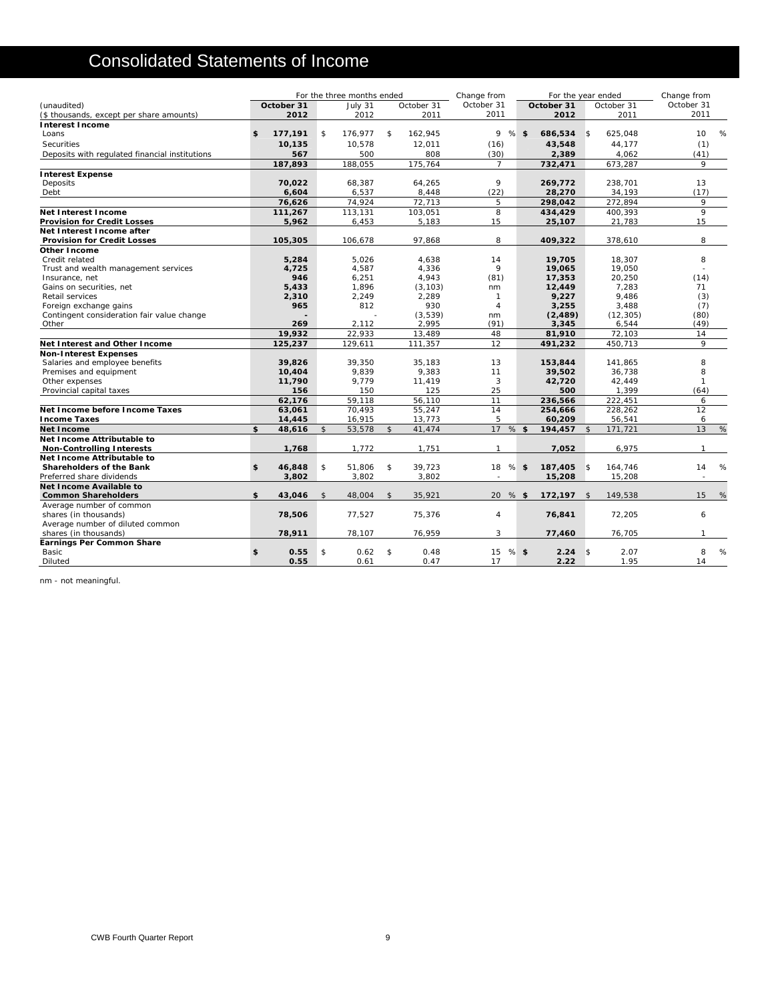# Consolidated Statements of Income

|                                                |               | For the three months ended |                          | Change from    |              | For the year ended      | Change from  |
|------------------------------------------------|---------------|----------------------------|--------------------------|----------------|--------------|-------------------------|--------------|
| (unaudited)                                    | October 31    | July 31                    | October 31               | October 31     | October 31   | October 31              | October 31   |
| (\$ thousands, except per share amounts)       | 2012          | 2012                       | 2011                     | 2011           | 2012         | 2011                    | 2011         |
| <b>Interest Income</b>                         |               |                            |                          |                |              |                         |              |
| Loans                                          | \$<br>177,191 | 176,977<br>\$              | 162,945<br>- \$          | $9%$ \$        | 686,534      | \$<br>625,048           | %<br>10      |
| Securities                                     | 10,135        | 10,578                     | 12,011                   | (16)           | 43,548       | 44,177                  | (1)          |
| Deposits with regulated financial institutions | 567           | 500                        | 808                      | (30)           | 2,389        | 4,062                   | (41)         |
|                                                | 187,893       | 188,055                    | 175,764                  | $\overline{7}$ | 732,471      | 673,287                 | 9            |
| <b>Interest Expense</b>                        |               |                            |                          |                |              |                         |              |
| Deposits                                       | 70,022        | 68,387                     | 64,265                   | 9              | 269,772      | 238,701                 | 13           |
| Debt                                           | 6,604         | 6,537                      | 8,448                    | (22)           | 28,270       | 34,193                  | (17)         |
|                                                | 76,626        | 74,924                     | 72,713                   | 5              | 298,042      | 272,894                 | 9            |
| <b>Net Interest Income</b>                     | 111,267       | 113,131                    | 103,051                  | 8              | 434,429      | 400,393                 | $\mathsf{Q}$ |
| <b>Provision for Credit Losses</b>             | 5,962         | 6,453                      | 5,183                    | 15             | 25,107       | 21.783                  | 15           |
| Net Interest Income after                      |               |                            |                          |                |              |                         |              |
| <b>Provision for Credit Losses</b>             | 105,305       | 106,678                    | 97,868                   | 8              | 409,322      | 378,610                 | 8            |
| Other Income                                   |               |                            |                          |                |              |                         |              |
| Credit related                                 | 5,284         | 5.026                      | 4.638                    | 14             | 19.705       | 18,307                  | 8            |
| Trust and wealth management services           | 4,725         | 4,587                      | 4,336                    | 9              | 19,065       | 19,050                  |              |
| Insurance, net                                 | 946           | 6,251                      | 4,943                    | (81)           | 17,353       | 20,250                  | (14)         |
| Gains on securities, net                       | 5,433         | 1,896                      | (3, 103)                 | nm             | 12,449       | 7,283                   | 71           |
| Retail services                                | 2,310         | 2,249                      | 2,289                    | $\mathbf{1}$   | 9,227        | 9,486                   | (3)          |
| Foreign exchange gains                         | 965           | 812                        | 930                      | $\overline{4}$ | 3,255        | 3,488                   | (7)          |
| Contingent consideration fair value change     |               |                            | (3,539)                  | nm             | (2, 489)     | (12, 305)               | (80)         |
| Other                                          | 269           | 2,112                      | 2,995                    | (91)           | 3,345        | 6,544                   | (49)         |
|                                                | 19,932        | 22,933                     | 13,489                   | 48             | 81,910       | 72.103                  | 14           |
| Net Interest and Other Income                  | 125,237       | 129,611                    | 111,357                  | 12             | 491,232      | 450,713                 | 9            |
| <b>Non-Interest Expenses</b>                   |               |                            |                          |                |              |                         |              |
| Salaries and employee benefits                 | 39,826        | 39.350                     | 35.183                   | 13             | 153,844      | 141.865                 | 8            |
| Premises and equipment                         | 10,404        | 9,839                      | 9,383                    | 11             | 39,502       | 36,738                  | 8            |
| Other expenses                                 | 11,790        | 9,779                      | 11,419                   | 3              | 42,720       | 42,449                  | 1            |
| Provincial capital taxes                       | 156           | 150                        | 125                      | 25             | 500          | 1,399                   | (64)         |
|                                                | 62,176        | 59.118                     | 56,110                   | 11             | 236,566      | 222,451                 | 6            |
| Net Income before Income Taxes                 | 63,061        | 70,493                     | 55,247                   | 14             | 254,666      | 228,262                 | 12           |
| <b>Income Taxes</b>                            | 14,445        | 16,915                     | 13,773                   | 5              | 60,209       | 56,541                  | 6            |
| <b>Net Income</b>                              | 48,616<br>\$  | 53,578<br>\$               | 41,474<br>$\mathcal{S}$  | 17 % \$        | 194,457      | 171,721<br>$\mathbf{s}$ | 13<br>%      |
| Net Income Attributable to                     |               |                            |                          |                |              |                         |              |
| <b>Non-Controlling Interests</b>               | 1,768         | 1,772                      | 1,751                    | $\mathbf{1}$   | 7,052        | 6,975                   | $\mathbf{1}$ |
| Net Income Attributable to                     |               |                            |                          |                |              |                         |              |
| <b>Shareholders of the Bank</b>                | \$<br>46,848  | \$<br>51,806               | \$<br>39,723             | 18 % \$        | 187,405      | 164,746<br>l\$          | %<br>14      |
| Preferred share dividends                      | 3.802         | 3,802                      | 3,802                    |                | 15,208       | 15,208                  |              |
| Net Income Available to                        |               |                            |                          |                |              |                         |              |
| <b>Common Shareholders</b>                     | 43,046<br>\$  | 48,004<br>\$               | 35,921<br>$\mathfrak{S}$ | 20 % \$        | $172,197$ \$ | 149,538                 | %<br>15      |
| Average number of common                       |               |                            |                          |                |              |                         |              |
| shares (in thousands)                          | 78,506        | 77,527                     | 75,376                   | $\overline{4}$ | 76,841       | 72,205                  | 6            |
| Average number of diluted common               |               |                            |                          |                |              |                         |              |
| shares (in thousands)                          | 78,911        | 78,107                     | 76,959                   | 3              | 77,460       | 76,705                  | $\mathbf{1}$ |
| Earnings Per Common Share                      |               |                            |                          |                |              |                         |              |
| Basic                                          | \$<br>0.55    | 0.62<br>\$                 | 0.48<br>-S               | 15 % \$        | 2.24         | <sup>\$</sup><br>2.07   | %<br>8       |
| Diluted                                        | 0.55          | 0.61                       | 0.47                     | 17             | 2.22         | 1.95                    | 14           |
|                                                |               |                            |                          |                |              |                         |              |

nm - not meaningful.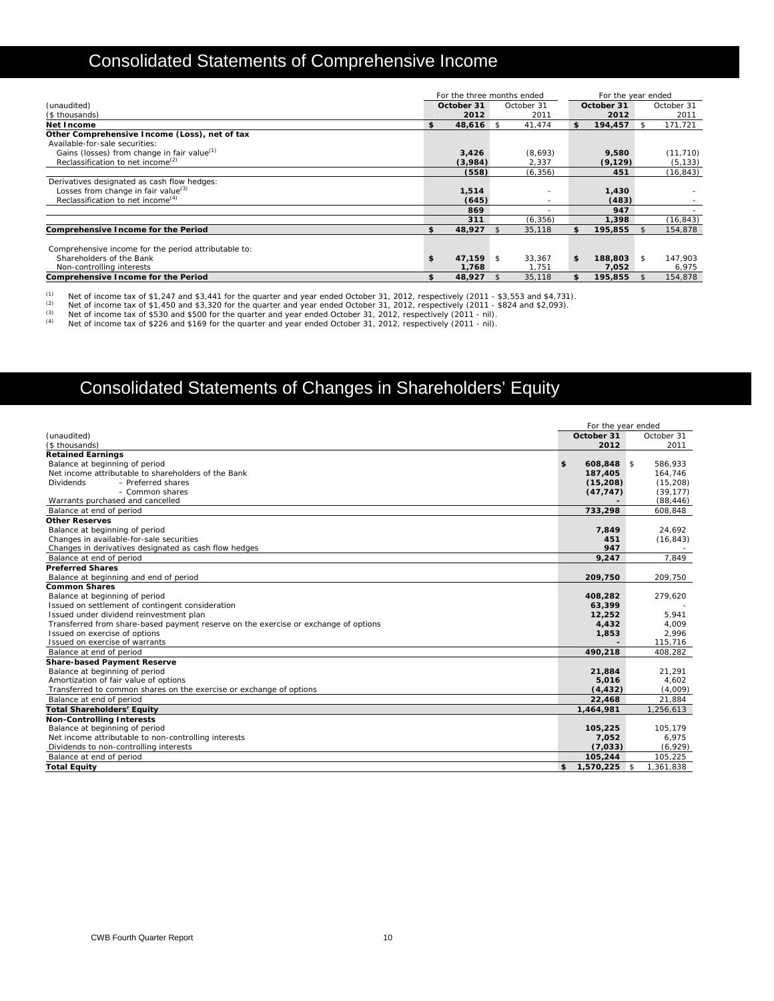## Consolidated Statements of Comprehensive Income

|                                                         | For the three months ended |         |               |          |    | For the year ended |               |            |  |  |
|---------------------------------------------------------|----------------------------|---------|---------------|----------|----|--------------------|---------------|------------|--|--|
| (unaudited)                                             |                            |         | October 31    |          |    | October 31         |               | October 31 |  |  |
| (\$ thousands)                                          |                            | 2012    |               | 2011     |    | 2012               |               | 2011       |  |  |
| Net Income                                              | \$                         | 48,616  | \$            | 41,474   | \$ | 194,457            | -S            | 171,721    |  |  |
| Other Comprehensive Income (Loss), net of tax           |                            |         |               |          |    |                    |               |            |  |  |
| Available-for-sale securities:                          |                            |         |               |          |    |                    |               |            |  |  |
| Gains (losses) from change in fair value <sup>(1)</sup> |                            | 3,426   |               | (8,693)  |    | 9,580              |               | (11, 710)  |  |  |
| Reclassification to net income <sup>(2)</sup>           |                            | (3,984) |               | 2.337    |    | (9, 129)           |               | (5, 133)   |  |  |
|                                                         |                            | (558)   |               | (6, 356) |    | 451                |               | (16, 843)  |  |  |
| Derivatives designated as cash flow hedges:             |                            |         |               |          |    |                    |               |            |  |  |
| Losses from change in fair value <sup>(3)</sup>         |                            | 1,514   |               |          |    | 1,430              |               |            |  |  |
| Reclassification to net income <sup>(4)</sup>           |                            | (645)   |               | $\sim$   |    | (483)              |               |            |  |  |
|                                                         |                            | 869     |               |          |    | 947                |               |            |  |  |
|                                                         |                            | 311     |               | (6, 356) |    | 1,398              |               | (16, 843)  |  |  |
| Comprehensive Income for the Period                     |                            | 48.927  | $\mathcal{F}$ | 35,118   | \$ | 195,855            | $\mathcal{L}$ | 154,878    |  |  |
|                                                         |                            |         |               |          |    |                    |               |            |  |  |
| Comprehensive income for the period attributable to:    |                            |         |               |          |    |                    |               |            |  |  |
| Shareholders of the Bank                                | \$                         | 47,159  | \$            | 33.367   | \$ | 188,803            | -S            | 147,903    |  |  |
| Non-controlling interests                               |                            | 1.768   |               | 1.751    |    | 7,052              |               | 6,975      |  |  |
| Comprehensive Income for the Period                     |                            | 48,927  | <sup>\$</sup> | 35,118   | \$ | 195,855            | $\mathcal{L}$ | 154,878    |  |  |

(1) Net of income tax of \$1,247 and \$3,441 for the quarter and year ended October 31, 2012, respectively (2011 - \$3,553 and \$4,731).<br>
(2) Net of income tax of \$1,450 and \$3,320 for the quarter and year ended October 31, 2

## Consolidated Statements of Changes in Shareholders' Equity

|                                                                                     | For the year ended |                 |  |            |  |  |
|-------------------------------------------------------------------------------------|--------------------|-----------------|--|------------|--|--|
| (unaudited)                                                                         |                    | October 31      |  | October 31 |  |  |
| (\$ thousands)                                                                      |                    | 2012            |  | 2011       |  |  |
| <b>Retained Earnings</b>                                                            |                    |                 |  |            |  |  |
| Balance at beginning of period                                                      | \$                 | 608.848 \$      |  | 586.933    |  |  |
| Net income attributable to shareholders of the Bank                                 |                    | 187.405         |  | 164.746    |  |  |
| <b>Dividends</b><br>- Preferred shares                                              |                    | (15, 208)       |  | (15, 208)  |  |  |
| - Common shares                                                                     |                    | (47, 747)       |  | (39, 177)  |  |  |
| Warrants purchased and cancelled                                                    |                    |                 |  | (88, 446)  |  |  |
| Balance at end of period                                                            |                    | 733,298         |  | 608,848    |  |  |
| <b>Other Reserves</b>                                                               |                    |                 |  |            |  |  |
| Balance at beginning of period                                                      |                    | 7,849           |  | 24,692     |  |  |
| Changes in available-for-sale securities                                            |                    | 451             |  | (16, 843)  |  |  |
| Changes in derivatives designated as cash flow hedges                               |                    | 947             |  |            |  |  |
| Balance at end of period                                                            |                    | 9,247           |  | 7.849      |  |  |
| <b>Preferred Shares</b>                                                             |                    |                 |  |            |  |  |
| Balance at beginning and end of period                                              |                    | 209,750         |  | 209,750    |  |  |
| <b>Common Shares</b>                                                                |                    |                 |  |            |  |  |
| Balance at beginning of period                                                      |                    | 408,282         |  | 279,620    |  |  |
| Issued on settlement of contingent consideration                                    |                    | 63,399          |  |            |  |  |
| Issued under dividend reinvestment plan                                             |                    | 12,252          |  | 5,941      |  |  |
| Transferred from share-based payment reserve on the exercise or exchange of options |                    | 4,432           |  | 4,009      |  |  |
| Issued on exercise of options                                                       |                    | 1,853           |  | 2,996      |  |  |
| Issued on exercise of warrants                                                      |                    |                 |  | 115,716    |  |  |
| Balance at end of period                                                            |                    | 490,218         |  | 408.282    |  |  |
| <b>Share-based Payment Reserve</b>                                                  |                    |                 |  |            |  |  |
| Balance at beginning of period                                                      |                    | 21,884          |  | 21,291     |  |  |
| Amortization of fair value of options                                               |                    | 5,016           |  | 4.602      |  |  |
| Transferred to common shares on the exercise or exchange of options                 |                    | (4, 432)        |  | (4,009)    |  |  |
| Balance at end of period                                                            |                    | 22,468          |  | 21.884     |  |  |
| <b>Total Shareholders' Equity</b>                                                   |                    | 1,464,981       |  | 1,256,613  |  |  |
| <b>Non-Controlling Interests</b>                                                    |                    |                 |  |            |  |  |
| Balance at beginning of period                                                      |                    | 105,225         |  | 105,179    |  |  |
| Net income attributable to non-controlling interests                                |                    | 7,052           |  | 6,975      |  |  |
| Dividends to non-controlling interests                                              |                    | (7,033)         |  | (6,929)    |  |  |
| Balance at end of period                                                            |                    | 105,244         |  | 105,225    |  |  |
| <b>Total Equity</b>                                                                 |                    | $$1,570,225$ \$ |  | 1,361,838  |  |  |